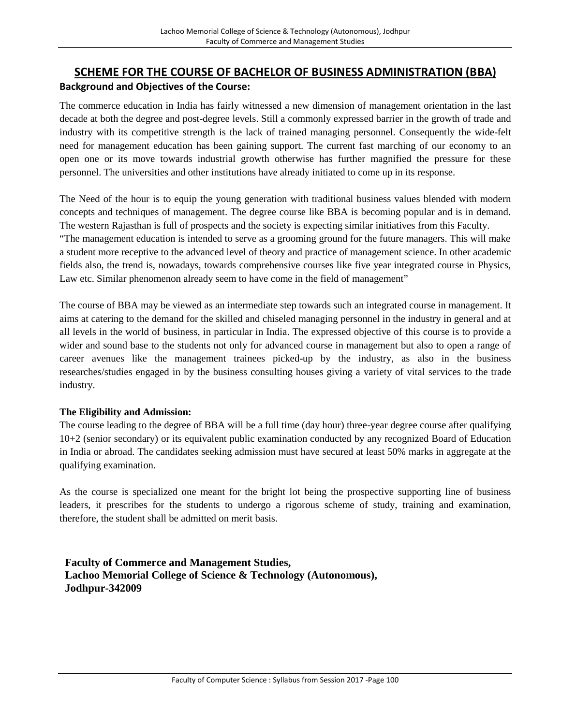# **SCHEME FOR THE COURSE OF BACHELOR OF BUSINESS ADMINISTRATION (BBA) Background and Objectives of the Course:**

The commerce education in India has fairly witnessed a new dimension of management orientation in the last decade at both the degree and post-degree levels. Still a commonly expressed barrier in the growth of trade and industry with its competitive strength is the lack of trained managing personnel. Consequently the wide-felt need for management education has been gaining support. The current fast marching of our economy to an open one or its move towards industrial growth otherwise has further magnified the pressure for these personnel. The universities and other institutions have already initiated to come up in its response.

The Need of the hour is to equip the young generation with traditional business values blended with modern concepts and techniques of management. The degree course like BBA is becoming popular and is in demand. The western Rajasthan is full of prospects and the society is expecting similar initiatives from this Faculty.

"The management education is intended to serve as a grooming ground for the future managers. This will make a student more receptive to the advanced level of theory and practice of management science. In other academic fields also, the trend is, nowadays, towards comprehensive courses like five year integrated course in Physics, Law etc. Similar phenomenon already seem to have come in the field of management"

The course of BBA may be viewed as an intermediate step towards such an integrated course in management. It aims at catering to the demand for the skilled and chiseled managing personnel in the industry in general and at all levels in the world of business, in particular in India. The expressed objective of this course is to provide a wider and sound base to the students not only for advanced course in management but also to open a range of career avenues like the management trainees picked-up by the industry, as also in the business researches/studies engaged in by the business consulting houses giving a variety of vital services to the trade industry.

# **The Eligibility and Admission:**

The course leading to the degree of BBA will be a full time (day hour) three-year degree course after qualifying 10+2 (senior secondary) or its equivalent public examination conducted by any recognized Board of Education in India or abroad. The candidates seeking admission must have secured at least 50% marks in aggregate at the qualifying examination.

As the course is specialized one meant for the bright lot being the prospective supporting line of business leaders, it prescribes for the students to undergo a rigorous scheme of study, training and examination, therefore, the student shall be admitted on merit basis.

**Faculty of Commerce and Management Studies, Lachoo Memorial College of Science & Technology (Autonomous), Jodhpur-342009**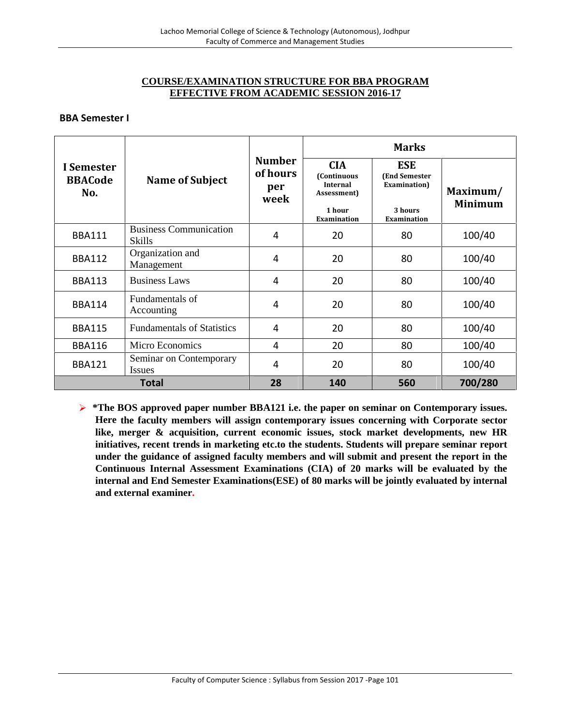#### **COURSE/EXAMINATION STRUCTURE FOR BBA PROGRAM EFFECTIVE FROM ACADEMIC SESSION 2016-17**

#### **BBA Semester I**

|                                     | <b>Name of Subject</b>                         |                                          | <b>Marks</b>                                                |                                                             |                            |
|-------------------------------------|------------------------------------------------|------------------------------------------|-------------------------------------------------------------|-------------------------------------------------------------|----------------------------|
| I Semester<br><b>BBACode</b><br>No. |                                                | <b>Number</b><br>of hours<br>per<br>week | <b>CIA</b><br>(Continuous<br><b>Internal</b><br>Assessment) | <b>ESE</b><br><b>(End Semester)</b><br><b>Examination</b> ) | Maximum/<br><b>Minimum</b> |
|                                     |                                                |                                          | 1 hour<br><b>Examination</b>                                | 3 hours<br><b>Examination</b>                               |                            |
| <b>BBA111</b>                       | <b>Business Communication</b><br><b>Skills</b> | 4                                        | 20                                                          | 80                                                          | 100/40                     |
| <b>BBA112</b>                       | Organization and<br>Management                 | 4                                        | 20                                                          | 80                                                          | 100/40                     |
| <b>BBA113</b>                       | <b>Business Laws</b>                           | 4                                        | 20                                                          | 80                                                          | 100/40                     |
| <b>BBA114</b>                       | Fundamentals of<br>Accounting                  | 4                                        | 20                                                          | 80                                                          | 100/40                     |
| <b>BBA115</b>                       | <b>Fundamentals of Statistics</b>              | 4                                        | 20                                                          | 80                                                          | 100/40                     |
| <b>BBA116</b>                       | Micro Economics                                | 4                                        | 20                                                          | 80                                                          | 100/40                     |
| <b>BBA121</b>                       | Seminar on Contemporary<br><i>Issues</i>       | 4                                        | 20                                                          | 80                                                          | 100/40                     |
|                                     | <b>Total</b>                                   | 28                                       | 140                                                         | 560                                                         | 700/280                    |

 **\*The BOS approved paper number BBA121 i.e. the paper on seminar on Contemporary issues. Here the faculty members will assign contemporary issues concerning with Corporate sector like, merger & acquisition, current economic issues, stock market developments, new HR initiatives, recent trends in marketing etc.to the students. Students will prepare seminar report under the guidance of assigned faculty members and will submit and present the report in the Continuous Internal Assessment Examinations (CIA) of 20 marks will be evaluated by the internal and End Semester Examinations(ESE) of 80 marks will be jointly evaluated by internal and external examiner.**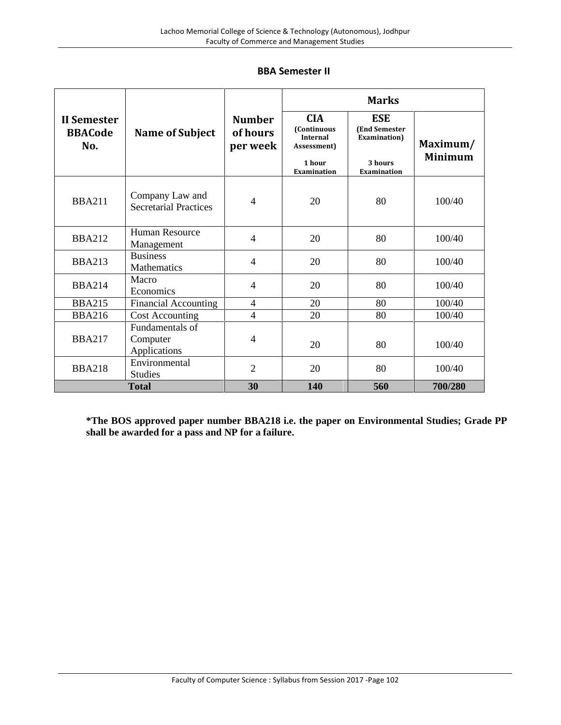|                                             |                                                 |                                       | <b>Marks</b>                                                                                |                                                                                     |                            |  |  |
|---------------------------------------------|-------------------------------------------------|---------------------------------------|---------------------------------------------------------------------------------------------|-------------------------------------------------------------------------------------|----------------------------|--|--|
| <b>II</b> Semester<br><b>BBACode</b><br>No. | <b>Name of Subject</b>                          | <b>Number</b><br>of hours<br>per week | <b>CIA</b><br>(Continuous<br><b>Internal</b><br>Assessment)<br>1 hour<br><b>Examination</b> | <b>ESE</b><br><b>(End Semester</b><br>Examination)<br>3 hours<br><b>Examination</b> | Maximum/<br><b>Minimum</b> |  |  |
| <b>BBA211</b>                               | Company Law and<br><b>Secretarial Practices</b> | $\overline{4}$                        | 20                                                                                          | 80                                                                                  | 100/40                     |  |  |
| <b>BBA212</b>                               | Human Resource<br>Management                    | $\overline{4}$                        | 20                                                                                          | 80                                                                                  | 100/40                     |  |  |
| <b>BBA213</b>                               | <b>Business</b><br>Mathematics                  | $\overline{4}$                        | 20                                                                                          | 80                                                                                  | 100/40                     |  |  |
| <b>BBA214</b>                               | Macro<br>Economics                              | $\overline{4}$                        | 20                                                                                          | 80                                                                                  | 100/40                     |  |  |
| <b>BBA215</b>                               | <b>Financial Accounting</b>                     | 4                                     | 20                                                                                          | 80                                                                                  | 100/40                     |  |  |
| <b>BBA216</b>                               | <b>Cost Accounting</b>                          | $\overline{4}$                        | 20                                                                                          | 80                                                                                  | 100/40                     |  |  |
| <b>BBA217</b>                               | Fundamentals of<br>Computer<br>Applications     | $\overline{4}$                        | 20                                                                                          | 80                                                                                  | 100/40                     |  |  |
| <b>BBA218</b>                               | Environmental<br><b>Studies</b>                 | $\overline{2}$                        | 20                                                                                          | 80                                                                                  | 100/40                     |  |  |
| <b>Total</b>                                |                                                 | 30                                    | 140                                                                                         | 560                                                                                 | 700/280                    |  |  |

# **BBA Semester II**

**\*The BOS approved paper number BBA218 i.e. the paper on Environmental Studies; Grade PP shall be awarded for a pass and NP for a failure.**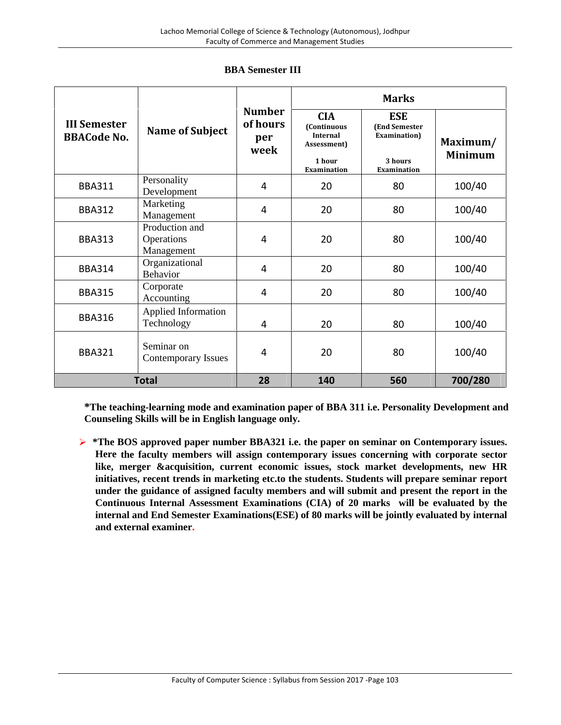|                                           |                                            |                                          | <b>Marks</b>                                                                                |                                                                                             |                            |
|-------------------------------------------|--------------------------------------------|------------------------------------------|---------------------------------------------------------------------------------------------|---------------------------------------------------------------------------------------------|----------------------------|
| <b>III Semester</b><br><b>BBACode No.</b> | <b>Name of Subject</b>                     | <b>Number</b><br>of hours<br>per<br>week | <b>CIA</b><br>(Continuous<br><b>Internal</b><br>Assessment)<br>1 hour<br><b>Examination</b> | <b>ESE</b><br><b>(End Semester</b><br><b>Examination</b> )<br>3 hours<br><b>Examination</b> | Maximum/<br><b>Minimum</b> |
| <b>BBA311</b>                             | Personality<br>Development                 | $\overline{4}$                           | 20                                                                                          | 80                                                                                          | 100/40                     |
| <b>BBA312</b>                             | Marketing<br>Management                    | 4                                        | 20                                                                                          | 80                                                                                          | 100/40                     |
| <b>BBA313</b>                             | Production and<br>Operations<br>Management | 4                                        | 20                                                                                          | 80                                                                                          | 100/40                     |
| <b>BBA314</b>                             | Organizational<br>Behavior                 | 4                                        | 20                                                                                          | 80                                                                                          | 100/40                     |
| <b>BBA315</b>                             | Corporate<br>Accounting                    | 4                                        | 20                                                                                          | 80                                                                                          | 100/40                     |
| <b>BBA316</b>                             | Applied Information<br>Technology          | 4                                        | 20                                                                                          | 80                                                                                          | 100/40                     |
| <b>BBA321</b>                             | Seminar on<br><b>Contemporary Issues</b>   | 4                                        | 20                                                                                          | 80                                                                                          | 100/40                     |
| <b>Total</b>                              |                                            | 28                                       | 140                                                                                         | 560                                                                                         | 700/280                    |

# **BBA Semester III**

**\*The teaching-learning mode and examination paper of BBA 311 i.e. Personality Development and Counseling Skills will be in English language only.**

 **\*The BOS approved paper number BBA321 i.e. the paper on seminar on Contemporary issues. Here the faculty members will assign contemporary issues concerning with corporate sector like, merger &acquisition, current economic issues, stock market developments, new HR initiatives, recent trends in marketing etc.to the students. Students will prepare seminar report under the guidance of assigned faculty members and will submit and present the report in the Continuous Internal Assessment Examinations (CIA) of 20 marks will be evaluated by the internal and End Semester Examinations(ESE) of 80 marks will be jointly evaluated by internal and external examiner.**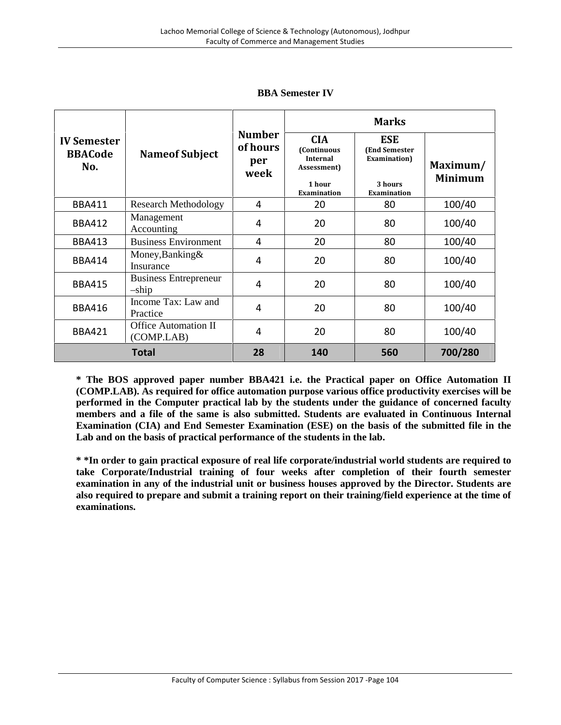|                                             |                                           |                                          | <b>Marks</b>                                                                         |                                                                       |                            |  |
|---------------------------------------------|-------------------------------------------|------------------------------------------|--------------------------------------------------------------------------------------|-----------------------------------------------------------------------|----------------------------|--|
| <b>IV Semester</b><br><b>BBACode</b><br>No. | <b>Nameof Subject</b>                     | <b>Number</b><br>of hours<br>per<br>week | <b>CIA</b><br>(Continuous<br><b>Internal</b><br>Assessment)<br>1 hour<br>Examination | <b>ESE</b><br>(End Semester<br>Examination)<br>3 hours<br>Examination | Maximum/<br><b>Minimum</b> |  |
| <b>BBA411</b>                               | <b>Research Methodology</b>               | 4                                        | 20                                                                                   | 80                                                                    | 100/40                     |  |
| <b>BBA412</b>                               | Management<br>Accounting                  | 4                                        | 20                                                                                   | 80                                                                    | 100/40                     |  |
| <b>BBA413</b>                               | <b>Business Environment</b>               | 4                                        | 20                                                                                   | 80                                                                    | 100/40                     |  |
| <b>BBA414</b>                               | Money, Banking &<br>Insurance             | 4                                        | 20                                                                                   | 80                                                                    | 100/40                     |  |
| <b>BBA415</b>                               | <b>Business Entrepreneur</b><br>$-ship$   | 4                                        | 20                                                                                   | 80                                                                    | 100/40                     |  |
| <b>BBA416</b>                               | Income Tax: Law and<br>Practice           | 4                                        | 20                                                                                   | 80                                                                    | 100/40                     |  |
| <b>BBA421</b>                               | <b>Office Automation II</b><br>(COMP.LAB) | 4                                        | 20                                                                                   | 80                                                                    | 100/40                     |  |
|                                             | <b>Total</b>                              | 28                                       | 140                                                                                  | 560                                                                   | 700/280                    |  |

# **BBA Semester IV**

**\* The BOS approved paper number BBA421 i.e. the Practical paper on Office Automation II (COMP.LAB). As required for office automation purpose various office productivity exercises will be performed in the Computer practical lab by the students under the guidance of concerned faculty members and a file of the same is also submitted. Students are evaluated in Continuous Internal Examination (CIA) and End Semester Examination (ESE) on the basis of the submitted file in the Lab and on the basis of practical performance of the students in the lab.**

**\* \*In order to gain practical exposure of real life corporate/industrial world students are required to take Corporate/Industrial training of four weeks after completion of their fourth semester examination in any of the industrial unit or business houses approved by the Director. Students are also required to prepare and submit a training report on their training/field experience at the time of examinations.**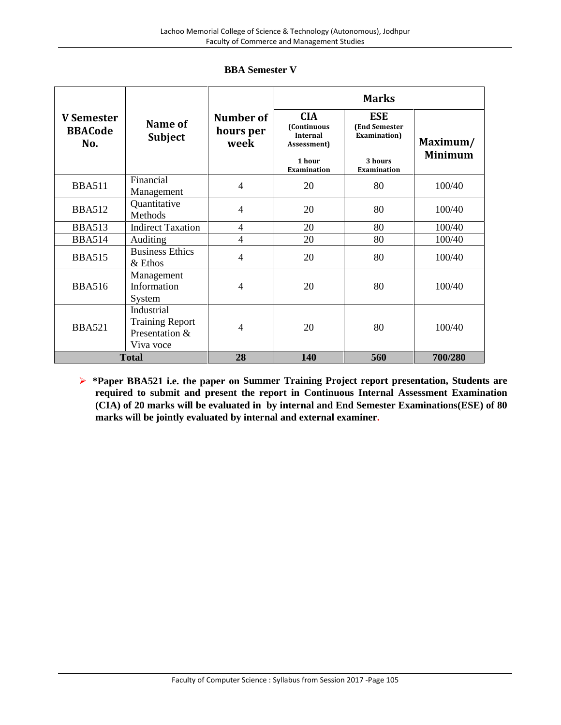| <b>BBA Semester V</b> |  |
|-----------------------|--|
|-----------------------|--|

|                                            |                                                                     |                                | <b>Marks</b>                                                                                |                                                                               |                            |  |
|--------------------------------------------|---------------------------------------------------------------------|--------------------------------|---------------------------------------------------------------------------------------------|-------------------------------------------------------------------------------|----------------------------|--|
| <b>V</b> Semester<br><b>BBACode</b><br>No. | Name of<br><b>Subject</b>                                           | Number of<br>hours per<br>week | <b>CIA</b><br><b>(Continuous</b><br><b>Internal</b><br>Assessment)<br>1 hour<br>Examination | <b>ESE</b><br>(End Semester<br><b>Examination</b> )<br>3 hours<br>Examination | Maximum/<br><b>Minimum</b> |  |
| <b>BBA511</b>                              | Financial<br>Management                                             | $\overline{4}$                 | 20                                                                                          | 80                                                                            | 100/40                     |  |
| <b>BBA512</b>                              | Quantitative<br>Methods                                             | $\overline{4}$                 | 20                                                                                          | 80                                                                            | 100/40                     |  |
| <b>BBA513</b>                              | <b>Indirect Taxation</b>                                            | $\overline{4}$                 | 20                                                                                          | 80                                                                            | 100/40                     |  |
| <b>BBA514</b>                              | Auditing                                                            | $\overline{\mathcal{A}}$       | 20                                                                                          | 80                                                                            | 100/40                     |  |
| <b>BBA515</b>                              | <b>Business Ethics</b><br>& Ethos                                   | $\overline{4}$                 | 20                                                                                          | 80                                                                            | 100/40                     |  |
| <b>BBA516</b>                              | Management<br>Information<br>System                                 | $\overline{4}$                 | 20                                                                                          | 80                                                                            | 100/40                     |  |
| <b>BBA521</b>                              | Industrial<br><b>Training Report</b><br>Presentation &<br>Viva voce | 4                              | 20                                                                                          | 80                                                                            | 100/40                     |  |
| <b>Total</b>                               |                                                                     | 28                             | 140                                                                                         | 560                                                                           | 700/280                    |  |

 **\*Paper BBA521 i.e. the paper on Summer Training Project report presentation, Students are required to submit and present the report in Continuous Internal Assessment Examination (CIA) of 20 marks will be evaluated in by internal and End Semester Examinations(ESE) of 80 marks will be jointly evaluated by internal and external examiner.**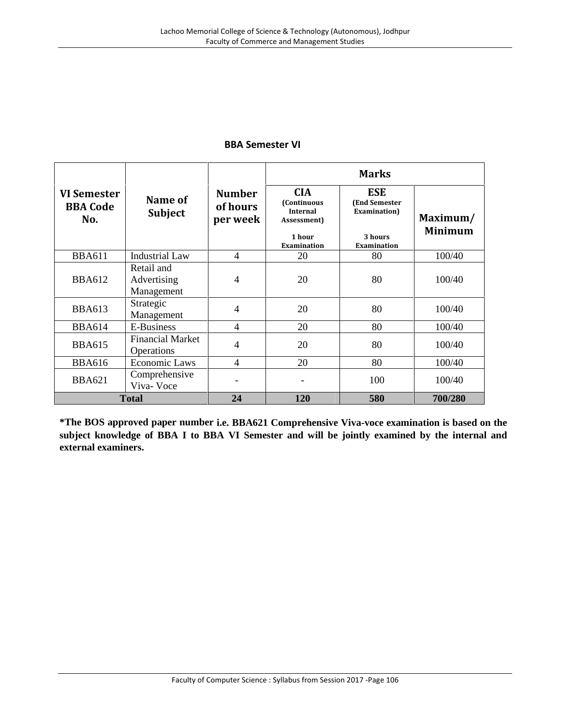#### **BBA Semester VI**

|                                              |                                              |                                       | <b>Marks</b>                                                                                |                                                                                      |                            |  |
|----------------------------------------------|----------------------------------------------|---------------------------------------|---------------------------------------------------------------------------------------------|--------------------------------------------------------------------------------------|----------------------------|--|
| <b>VI Semester</b><br><b>BBA Code</b><br>No. | Name of<br><b>Subject</b>                    | <b>Number</b><br>of hours<br>per week | <b>CIA</b><br>(Continuous<br><b>Internal</b><br>Assessment)<br>1 hour<br><b>Examination</b> | <b>ESE</b><br><b>(End Semester)</b><br>Examination)<br>3 hours<br><b>Examination</b> | Maximum/<br><b>Minimum</b> |  |
| <b>BBA611</b>                                | <b>Industrial Law</b>                        | $\overline{4}$                        | 20                                                                                          | 80                                                                                   | 100/40                     |  |
| <b>BBA612</b>                                | Retail and<br>Advertising<br>Management      | 4                                     | 20                                                                                          | 80                                                                                   | 100/40                     |  |
| <b>BBA613</b>                                | Strategic<br>Management                      | 4                                     | 20                                                                                          | 80                                                                                   | 100/40                     |  |
| <b>BBA614</b>                                | E-Business                                   | $\overline{4}$                        | 20                                                                                          | 80                                                                                   | 100/40                     |  |
| <b>BBA615</b>                                | <b>Financial Market</b><br><b>Operations</b> | 4                                     | 20                                                                                          | 80                                                                                   | 100/40                     |  |
| <b>BBA616</b>                                | <b>Economic Laws</b>                         | $\overline{4}$                        | 20                                                                                          | 80                                                                                   | 100/40                     |  |
| <b>BBA621</b>                                | Comprehensive<br>Viva-Voce                   |                                       |                                                                                             | 100                                                                                  | 100/40                     |  |
| <b>Total</b>                                 |                                              | 24                                    | 120                                                                                         | 580                                                                                  | 700/280                    |  |

**\*The BOS approved paper number i.e. BBA621 Comprehensive Viva-voce examination is based on the subject knowledge of BBA I to BBA VI Semester and willbe jointly examined by the internal and external examiners.**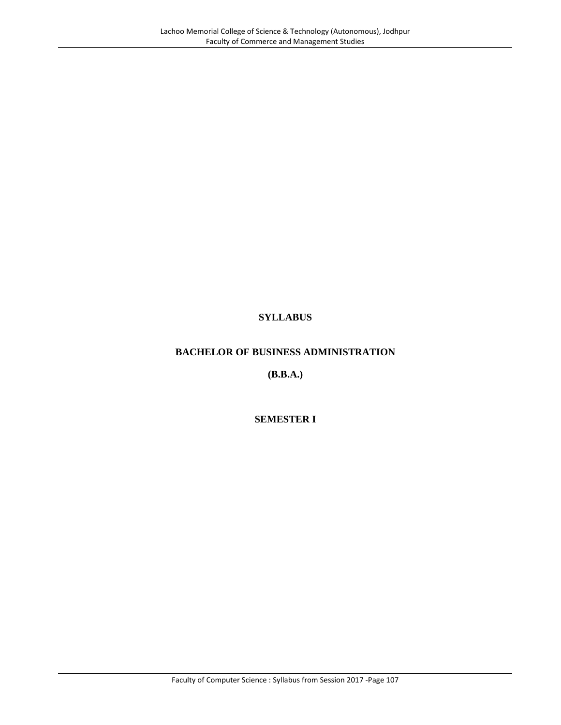# **SYLLABUS**

# **BACHELOR OF BUSINESS ADMINISTRATION**

**(B.B.A.)**

**SEMESTER I**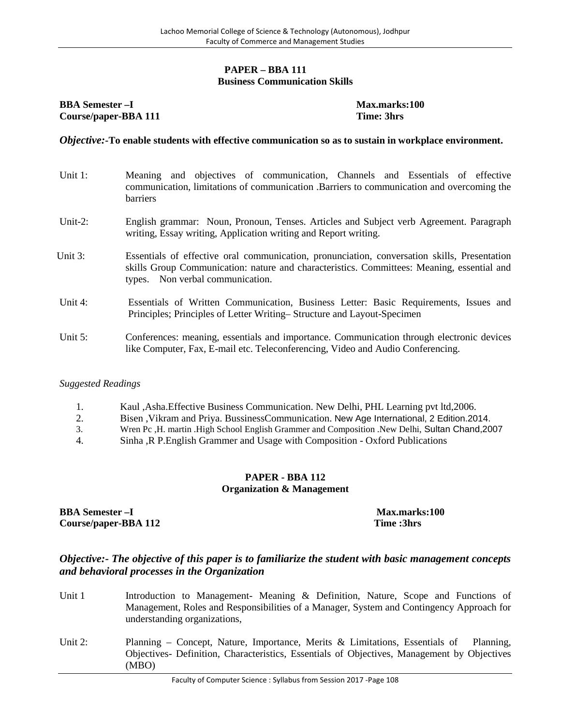#### **PAPER – BBA 111 Business Communication Skills**

#### **BBA Semester**  $-$ **I Max.marks:100 Course/paper-BBA 111 Time: 3hrs**

#### *Objective:***-To enable students with effective communication so as to sustain in workplace environment.**

- Unit 1: Meaning and objectives of communication, Channels and Essentials of effective communication, limitations of communication .Barriers to communication and overcoming the barriers
- Unit-2: English grammar: Noun, Pronoun, Tenses. Articles and Subject verb Agreement. Paragraph writing, Essay writing, Application writing and Report writing.
- Unit 3: Essentials of effective oral communication, pronunciation, conversation skills, Presentation skills Group Communication: nature and characteristics. Committees: Meaning, essential and types. Non verbal communication.
- Unit 4: Essentials of Written Communication, Business Letter: Basic Requirements, Issues and Principles; Principles of Letter Writing– Structure and Layout-Specimen
- Unit 5: Conferences: meaning, essentials and importance. Communication through electronic devices like Computer, Fax, E-mail etc. Teleconferencing, Video and Audio Conferencing.

#### *Suggested Readings*

- 1. Kaul ,Asha.Effective Business Communication. New Delhi, PHL Learning pvt ltd,2006.
- 2. Bisen ,Vikram and Priya. BussinessCommunication. New Age International, 2 Edition.2014.
- 3. Wren Pc ,H. martin .High School English Grammer and Composition .New Delhi, Sultan Chand,2007
- 4. Sinha ,R P.English Grammer and Usage with Composition Oxford Publications

#### **PAPER - BBA 112 Organization & Management**

**BBA Semester –I Max.marks:100 Course/paper-BBA 112 Time :3hrs**

# *Objective:- The objective of this paper is to familiarize the student with basic management concepts and behavioral processes in the Organization*

- Unit 1 Introduction to Management- Meaning & Definition, Nature, Scope and Functions of Management, Roles and Responsibilities of a Manager, System and Contingency Approach for understanding organizations,
- Unit 2: Planning Concept, Nature, Importance, Merits & Limitations, Essentials of Planning, Objectives- Definition, Characteristics, Essentials of Objectives, Management by Objectives (MBO)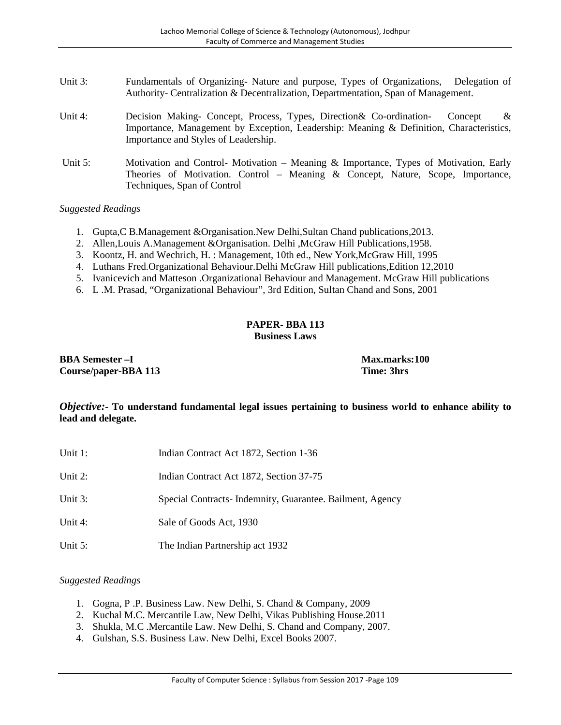| Unit 3:    | Fundamentals of Organizing-Nature and purpose, Types of Organizations, Delegation of<br>Authority- Centralization & Decentralization, Departmentation, Span of Management.                                              |
|------------|-------------------------------------------------------------------------------------------------------------------------------------------------------------------------------------------------------------------------|
| Unit $4$ : | Decision Making- Concept, Process, Types, Direction & Co-ordination-<br>&<br>Concept<br>Importance, Management by Exception, Leadership: Meaning & Definition, Characteristics,<br>Importance and Styles of Leadership. |
| Unit $5$ : | Motivation and Control-Motivation – Meaning & Importance, Types of Motivation, Early<br>Theories of Motivation. Control – Meaning & Concept, Nature, Scope, Importance,<br>Techniques, Span of Control                  |

#### *Suggested Readings*

- 1. Gupta,C B.Management &Organisation.New Delhi,Sultan Chand publications,2013.
- 2. Allen,Louis A.Management &Organisation. Delhi ,McGraw Hill Publications,1958.
- 3. Koontz, H. and Wechrich, H. : Management, 10th ed., New York,McGraw Hill, 1995
- 4. Luthans Fred.Organizational Behaviour.Delhi McGraw Hill publications,Edition 12,2010
- 5. Ivanicevich and Matteson .Organizational Behaviour and Management. McGraw Hill publications
- 6. L .M. Prasad, "Organizational Behaviour", 3rd Edition, Sultan Chand and Sons, 2001

#### **PAPER- BBA 113 Business Laws**

**BBA Semester –I Max.marks:100 Course/paper-BBA 113** 

# *Objective:***- To understand fundamental legal issues pertaining to business world to enhance ability to lead and delegate.**

| Unit 1: | Indian Contract Act 1872, Section 1-36                   |
|---------|----------------------------------------------------------|
| Unit 2: | Indian Contract Act 1872, Section 37-75                  |
| Unit 3: | Special Contracts-Indemnity, Guarantee. Bailment, Agency |
| Unit 4: | Sale of Goods Act, 1930                                  |
| Unit 5: | The Indian Partnership act 1932                          |

- 1. Gogna, P .P. Business Law. New Delhi, S. Chand & Company, 2009
- 2. Kuchal M.C. Mercantile Law, New Delhi, Vikas Publishing House.2011
- 3. Shukla, M.C .Mercantile Law. New Delhi, S. Chand and Company, 2007.
- 4. Gulshan, S.S. Business Law. New Delhi, Excel Books 2007.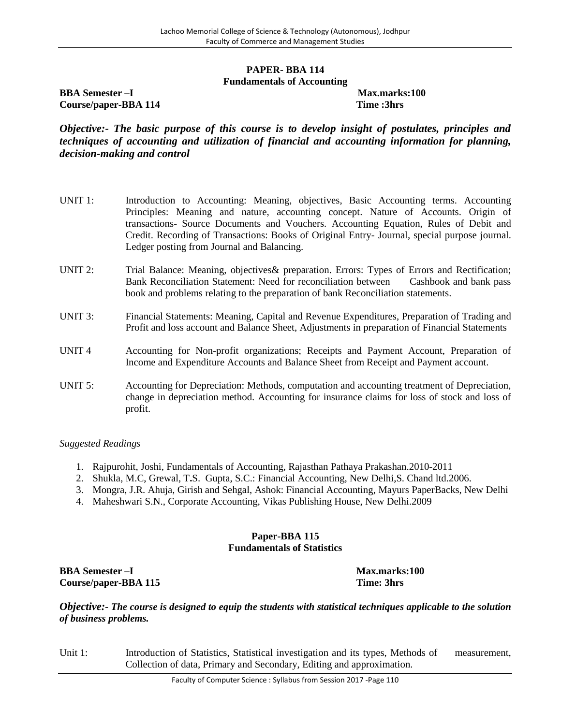#### **PAPER- BBA 114 Fundamentals of Accounting**

**BBA Semester**  $-1$  **Max.marks:100 Course/paper-BBA 114 Time :3hrs**

*Objective:- The basic purpose of this course is to develop insight of postulates, principles and techniques of accounting and utilization of financial and accounting information for planning, decision-making and control*

- UNIT 1: Introduction to Accounting: Meaning, objectives, Basic Accounting terms. Accounting Principles: Meaning and nature, accounting concept. Nature of Accounts. Origin of transactions- Source Documents and Vouchers. Accounting Equation, Rules of Debit and Credit. Recording of Transactions: Books of Original Entry- Journal, special purpose journal. Ledger posting from Journal and Balancing.
- UNIT 2: Trial Balance: Meaning, objectives & preparation. Errors: Types of Errors and Rectification; Bank Reconciliation Statement: Need for reconciliation between Cashbook and bank pass book and problems relating to the preparation of bank Reconciliation statements.
- UNIT 3: Financial Statements: Meaning, Capital and Revenue Expenditures, Preparation of Trading and Profit and loss account and Balance Sheet, Adjustments in preparation of Financial Statements
- UNIT 4 Accounting for Non-profit organizations; Receipts and Payment Account, Preparation of Income and Expenditure Accounts and Balance Sheet from Receipt and Payment account.
- UNIT 5: Accounting for Depreciation: Methods, computation and accounting treatment of Depreciation, change in depreciation method. Accounting for insurance claims for loss of stock and loss of profit.

#### *Suggested Readings*

- 1. Rajpurohit, Joshi, Fundamentals of Accounting, Rajasthan Pathaya Prakashan.2010-2011
- 2. Shukla, M.C, Grewal, T**.**S. Gupta, S.C.: Financial Accounting, New Delhi,S. Chand ltd.2006.
- 3. Mongra, J.R. Ahuja, Girish and Sehgal, Ashok: Financial Accounting, Mayurs PaperBacks, New Delhi
- 4. Maheshwari S.N., Corporate Accounting, Vikas Publishing House, New Delhi.2009

#### **Paper-BBA 115 Fundamentals of Statistics**

#### **BBA Semester –I Max.marks:100 Course/paper-BBA 115 Time: 3hrs**

*Objective:- The course is designed to equip the students with statistical techniques applicable to the solution of business problems.*

Unit 1: Introduction of Statistics, Statistical investigation and its types, Methods of measurement, Collection of data, Primary and Secondary, Editing and approximation.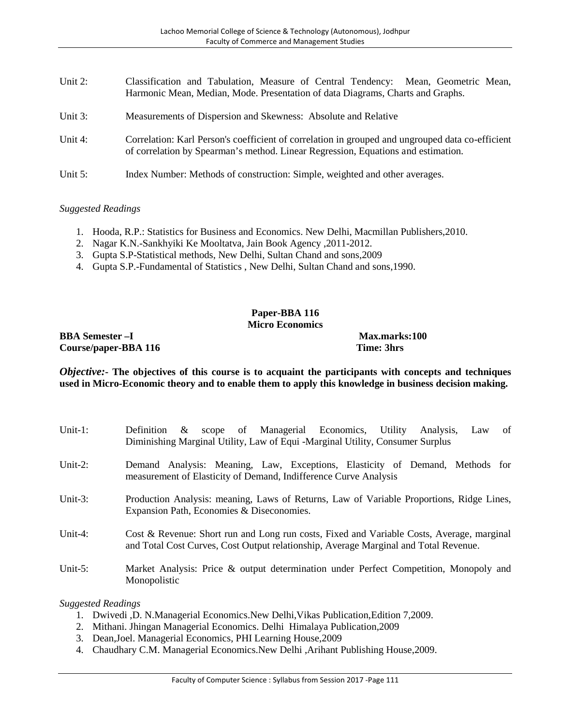| Unit 2:    | Classification and Tabulation, Measure of Central Tendency: Mean, Geometric Mean,<br>Harmonic Mean, Median, Mode. Presentation of data Diagrams, Charts and Graphs.                   |
|------------|---------------------------------------------------------------------------------------------------------------------------------------------------------------------------------------|
| Unit $3$ : | Measurements of Dispersion and Skewness: Absolute and Relative                                                                                                                        |
| Unit $4$ : | Correlation: Karl Person's coefficient of correlation in grouped and ungrouped data co-efficient<br>of correlation by Spearman's method. Linear Regression, Equations and estimation. |
| Unit 5:    | Index Number: Methods of construction: Simple, weighted and other averages.                                                                                                           |

#### *Suggested Readings*

- 1. Hooda, R.P.: Statistics for Business and Economics. New Delhi, Macmillan Publishers,2010.
- 2. Nagar K.N.-Sankhyiki Ke Mooltatva, Jain Book Agency ,2011-2012.
- 3. Gupta S.P-Statistical methods, New Delhi, Sultan Chand and sons,2009
- 4. Gupta S.P.-Fundamental of Statistics , New Delhi, Sultan Chand and sons,1990.

#### **Paper-BBA 116 Micro Economics**

**BBA Semester –I Max.marks:100 Course/paper-BBA 116 Time: 3hrs**

*Objective:***- The objectives of this course is to acquaint the participants with concepts and techniques used in Micro-Economic theory and to enable them to apply this knowledge in business decision making.**

| Unit-1:     | $\&$<br>scope of Managerial Economics, Utility Analysis,<br>of<br>Definition<br>Law<br>Diminishing Marginal Utility, Law of Equi - Marginal Utility, Consumer Surplus             |
|-------------|-----------------------------------------------------------------------------------------------------------------------------------------------------------------------------------|
| Unit-2:     | Demand Analysis: Meaning, Law, Exceptions, Elasticity of Demand, Methods for<br>measurement of Elasticity of Demand, Indifference Curve Analysis                                  |
| Unit- $3$ : | Production Analysis: meaning, Laws of Returns, Law of Variable Proportions, Ridge Lines,<br>Expansion Path, Economies & Diseconomies.                                             |
| Unit-4:     | Cost & Revenue: Short run and Long run costs, Fixed and Variable Costs, Average, marginal<br>and Total Cost Curves, Cost Output relationship, Average Marginal and Total Revenue. |
| Unit- $5:$  | Market Analysis: Price & output determination under Perfect Competition, Monopoly and<br>Monopolistic                                                                             |

- 1. Dwivedi ,D. N.Managerial Economics.New Delhi,Vikas Publication,Edition 7,2009.
- 2. Mithani. Jhingan Managerial Economics. Delhi Himalaya Publication,2009
- 3. Dean,Joel. Managerial Economics, PHI Learning House,2009
- 4. Chaudhary C.M. Managerial Economics.New Delhi ,Arihant Publishing House,2009.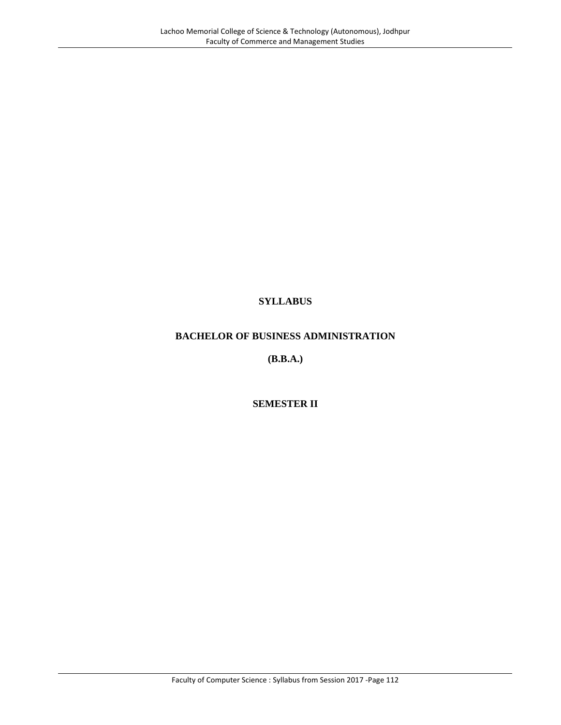# **SYLLABUS**

# **BACHELOR OF BUSINESS ADMINISTRATION**

**(B.B.A.)**

# **SEMESTER II**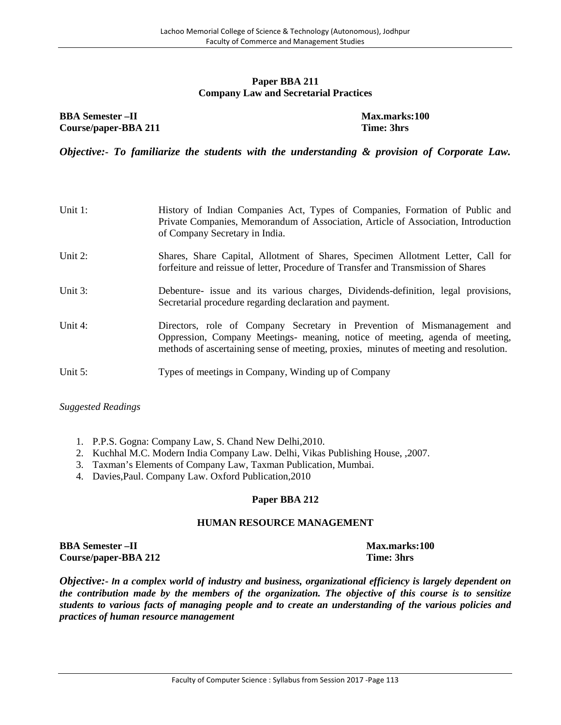#### **Paper BBA 211 Company Law and Secretarial Practices**

**BBA Semester –II Max.marks:100**<br> **Course/paper-BBA 211 Time: 3hrs Course/paper-BBA 211** 

*Objective:***-** *To familiarize the students with the understanding & provision of Corporate Law.*

| Unit 1: | History of Indian Companies Act, Types of Companies, Formation of Public and<br>Private Companies, Memorandum of Association, Article of Association, Introduction<br>of Company Secretary in India.                                             |
|---------|--------------------------------------------------------------------------------------------------------------------------------------------------------------------------------------------------------------------------------------------------|
| Unit 2: | Shares, Share Capital, Allotment of Shares, Specimen Allotment Letter, Call for<br>forfeiture and reissue of letter, Procedure of Transfer and Transmission of Shares                                                                            |
| Unit 3: | Debenture- issue and its various charges, Dividends-definition, legal provisions,<br>Secretarial procedure regarding declaration and payment.                                                                                                    |
| Unit 4: | Directors, role of Company Secretary in Prevention of Mismanagement and<br>Oppression, Company Meetings- meaning, notice of meeting, agenda of meeting,<br>methods of ascertaining sense of meeting, proxies, minutes of meeting and resolution. |
| Unit 5: | Types of meetings in Company, Winding up of Company                                                                                                                                                                                              |

*Suggested Readings*

- 1. P.P.S. Gogna: Company Law, S. Chand New Delhi,2010.
- 2. Kuchhal M.C. Modern India Company Law. Delhi, Vikas Publishing House, ,2007.
- 3. Taxman's Elements of Company Law, Taxman Publication, Mumbai.
- 4. Davies,Paul. Company Law. Oxford Publication,2010

#### **Paper BBA 212**

#### **HUMAN RESOURCE MANAGEMENT**

**BBA Semester** –**II Max.marks:100 Course/paper-BBA 212 Time: 3hrs**

*Objective:***-** *In a complex world of industry and business, organizational efficiency is largely dependent on the contribution made by the members of the organization. The objective of this course is to sensitize students to various facts of managing people and to create an understanding of the various policies and practices of human resource management*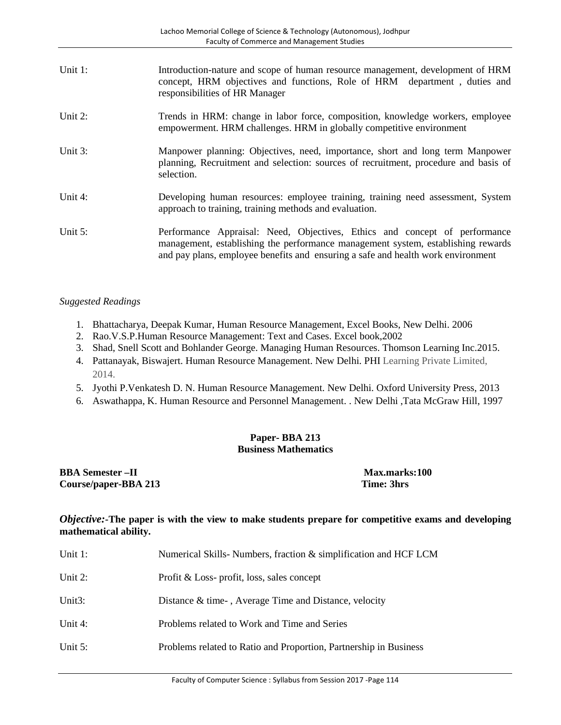| Unit 1: | Introduction-nature and scope of human resource management, development of HRM<br>concept, HRM objectives and functions, Role of HRM department, duties and<br>responsibilities of HR Manager                                                      |
|---------|----------------------------------------------------------------------------------------------------------------------------------------------------------------------------------------------------------------------------------------------------|
| Unit 2: | Trends in HRM: change in labor force, composition, knowledge workers, employee<br>empowerment. HRM challenges. HRM in globally competitive environment                                                                                             |
| Unit 3: | Manpower planning: Objectives, need, importance, short and long term Manpower<br>planning, Recruitment and selection: sources of recruitment, procedure and basis of<br>selection.                                                                 |
| Unit 4: | Developing human resources: employee training, training need assessment, System<br>approach to training, training methods and evaluation.                                                                                                          |
| Unit 5: | Performance Appraisal: Need, Objectives, Ethics and concept of performance<br>management, establishing the performance management system, establishing rewards<br>and pay plans, employee benefits and ensuring a safe and health work environment |

#### *Suggested Readings*

- 1. Bhattacharya, Deepak Kumar, Human Resource Management, Excel Books, New Delhi. 2006
- 2. Rao.V.S.P.Human Resource Management: Text and Cases. Excel book,2002
- 3. Shad, Snell Scott and Bohlander George. Managing Human Resources. Thomson Learning Inc.2015.
- 4. Pattanayak, Biswajert. Human Resource Management. New Delhi. PHI Learning Private Limited, 2014.
- 5. Jyothi P.Venkatesh D. N. Human Resource Management. New Delhi. Oxford University Press, 2013
- 6. Aswathappa, K. Human Resource and Personnel Management. . New Delhi ,Tata McGraw Hill, 1997

#### **Paper- BBA 213 Business Mathematics**

**BBA Semester –II Max.marks:100 Course/paper-BBA 213 Time: 3hrs**

#### *Objective:***-The paper is with the view to make students prepare for competitive exams and developing mathematical ability.**

| Unit $1$ : | Numerical Skills-Numbers, fraction & simplification and HCF LCM   |
|------------|-------------------------------------------------------------------|
| Unit 2:    | Profit & Loss- profit, loss, sales concept                        |
| Unit3:     | Distance $\&$ time-, Average Time and Distance, velocity          |
| Unit 4:    | Problems related to Work and Time and Series                      |
| Unit 5:    | Problems related to Ratio and Proportion, Partnership in Business |
|            |                                                                   |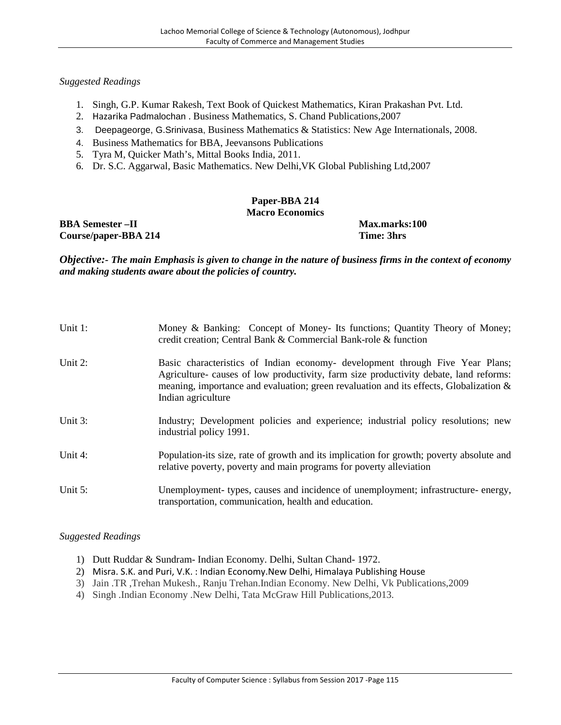#### *Suggested Readings*

- 1. Singh, G.P. Kumar Rakesh, Text Book of Quickest Mathematics, Kiran Prakashan Pvt. Ltd.
- 2. Hazarika Padmalochan . Business Mathematics, S. Chand Publications,2007
- 3. Deepageorge, G.Srinivasa, Business Mathematics & Statistics: New Age Internationals, 2008.
- 4. Business Mathematics for BBA, Jeevansons Publications
- 5. Tyra M, Quicker Math's, Mittal Books India, 2011.
- 6. Dr. S.C. Aggarwal, Basic Mathematics. New Delhi,VK Global Publishing Ltd,2007

#### **Paper-BBA 214 Macro Economics**

**BBA Semester –II Max.marks:100 Course/paper-BBA 214 Time: 3hrs**

*Objective:- The main Emphasis is given to change in the nature of business firms in the context of economy and making students aware about the policies of country.*

| Unit 1: | Money & Banking: Concept of Money- Its functions; Quantity Theory of Money;<br>credit creation; Central Bank & Commercial Bank-role & function                                                                                                                                            |
|---------|-------------------------------------------------------------------------------------------------------------------------------------------------------------------------------------------------------------------------------------------------------------------------------------------|
| Unit 2: | Basic characteristics of Indian economy- development through Five Year Plans;<br>Agriculture- causes of low productivity, farm size productivity debate, land reforms:<br>meaning, importance and evaluation; green revaluation and its effects, Globalization $\&$<br>Indian agriculture |
| Unit 3: | Industry; Development policies and experience; industrial policy resolutions; new<br>industrial policy 1991.                                                                                                                                                                              |
| Unit 4: | Population-its size, rate of growth and its implication for growth; poverty absolute and<br>relative poverty, poverty and main programs for poverty alleviation                                                                                                                           |
| Unit 5: | Unemployment- types, causes and incidence of unemployment; infrastructure- energy,<br>transportation, communication, health and education.                                                                                                                                                |

- 1) Dutt Ruddar & Sundram- Indian Economy. Delhi, Sultan Chand- 1972.
- 2) Misra. S.K. and Puri, V.K. : Indian Economy.New Delhi, Himalaya Publishing House
- 3) Jain .TR ,Trehan Mukesh., Ranju Trehan.Indian Economy. New Delhi, Vk Publications,2009
- 4) Singh .Indian Economy .New Delhi, Tata McGraw Hill Publications,2013.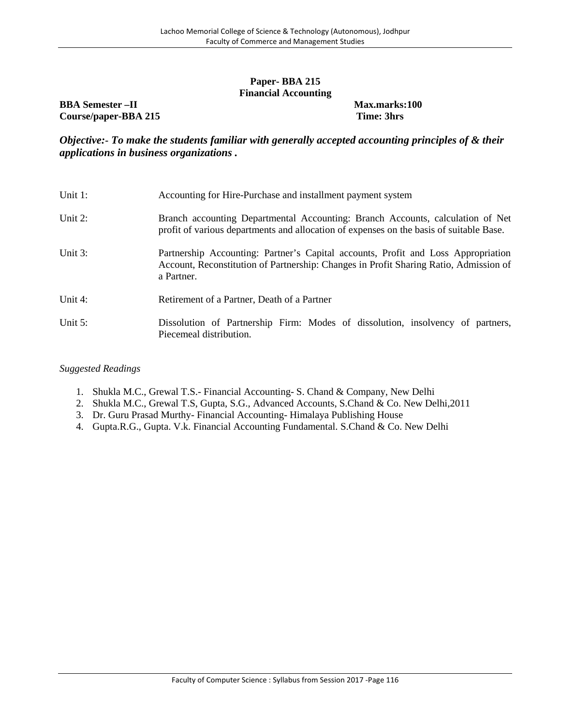# **Paper- BBA 215 Financial Accounting**

**BBA Semester** –**II Max.marks:100 Course/paper-BBA 215 Time: 3hrs**

*Objective:***-** *To make the students familiar with generally accepted accounting principles of & their applications in business organizations .*

| Unit $1$ : | Accounting for Hire-Purchase and installment payment system                                                                                                                              |  |  |  |
|------------|------------------------------------------------------------------------------------------------------------------------------------------------------------------------------------------|--|--|--|
| Unit $2$ : | Branch accounting Departmental Accounting: Branch Accounts, calculation of Net<br>profit of various departments and allocation of expenses on the basis of suitable Base.                |  |  |  |
| Unit $3$ : | Partnership Accounting: Partner's Capital accounts, Profit and Loss Appropriation<br>Account, Reconstitution of Partnership: Changes in Profit Sharing Ratio, Admission of<br>a Partner. |  |  |  |
| Unit $4$ : | Retirement of a Partner, Death of a Partner                                                                                                                                              |  |  |  |
| Unit 5:    | Dissolution of Partnership Firm: Modes of dissolution, insolvency of partners,<br>Piecemeal distribution.                                                                                |  |  |  |

- 1. Shukla M.C., Grewal T.S.- Financial Accounting- S. Chand & Company, New Delhi
- 2. Shukla M.C., Grewal T.S, Gupta, S.G., Advanced Accounts, S.Chand & Co. New Delhi,2011
- 3. Dr. Guru Prasad Murthy- Financial Accounting- Himalaya Publishing House
- 4. Gupta.R.G., Gupta. V.k. Financial Accounting Fundamental. S.Chand & Co. New Delhi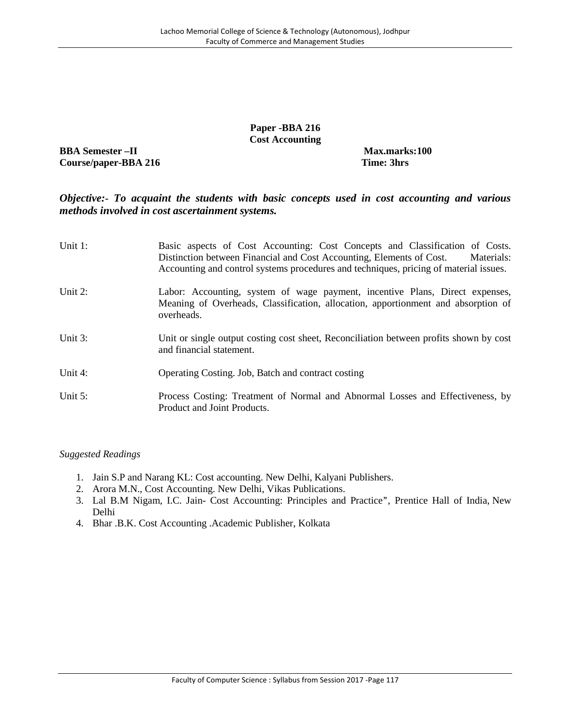#### **Paper -BBA 216 Cost Accounting**

**BBA Semester –II Max.marks:100 Course/paper-BBA 216 Time: 3hrs**

# *Objective:***-** *To acquaint the students with basic concepts used in cost accounting and various methods involved in cost ascertainment systems.*

| Unit 1:    | Basic aspects of Cost Accounting: Cost Concepts and Classification of Costs.<br>Distinction between Financial and Cost Accounting, Elements of Cost.<br>Materials:<br>Accounting and control systems procedures and techniques, pricing of material issues. |
|------------|-------------------------------------------------------------------------------------------------------------------------------------------------------------------------------------------------------------------------------------------------------------|
| Unit $2$ : | Labor: Accounting, system of wage payment, incentive Plans, Direct expenses,<br>Meaning of Overheads, Classification, allocation, apportionment and absorption of<br>overheads.                                                                             |
| Unit $3$ : | Unit or single output costing cost sheet, Reconciliation between profits shown by cost<br>and financial statement.                                                                                                                                          |
| Unit 4:    | Operating Costing. Job, Batch and contract costing                                                                                                                                                                                                          |
| Unit 5:    | Process Costing: Treatment of Normal and Abnormal Losses and Effectiveness, by<br>Product and Joint Products.                                                                                                                                               |

- 1. Jain S.P and Narang KL: Cost accounting. New Delhi, Kalyani Publishers.
- 2. Arora M.N., Cost Accounting. New Delhi, Vikas Publications.
- 3. Lal B.M Nigam, I.C. Jain- Cost Accounting: Principles and Practice'', Prentice Hall of India, New Delhi
- 4. Bhar .B.K. Cost Accounting .Academic Publisher, Kolkata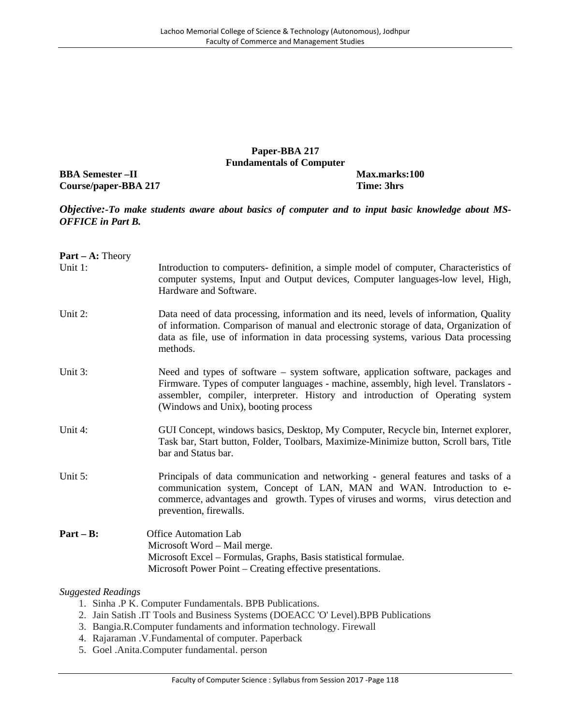# **Paper-BBA 217 Fundamentals of Computer**

**BBA Semester** –**II Max.marks:100 Course/paper-BBA 217 Time: 3hrs**

*Objective:***-***To make students aware about basics of computer and to input basic knowledge about MS- OFFICE in Part B.*

| <b>Part</b> $-$ A: Theory |                                                                                                                                                                                                                                                                                                   |
|---------------------------|---------------------------------------------------------------------------------------------------------------------------------------------------------------------------------------------------------------------------------------------------------------------------------------------------|
| Unit 1:                   | Introduction to computers- definition, a simple model of computer, Characteristics of<br>computer systems, Input and Output devices, Computer languages-low level, High,<br>Hardware and Software.                                                                                                |
| Unit 2:                   | Data need of data processing, information and its need, levels of information, Quality<br>of information. Comparison of manual and electronic storage of data, Organization of<br>data as file, use of information in data processing systems, various Data processing<br>methods.                |
| Unit 3:                   | Need and types of software – system software, application software, packages and<br>Firmware. Types of computer languages - machine, assembly, high level. Translators -<br>assembler, compiler, interpreter. History and introduction of Operating system<br>(Windows and Unix), booting process |
| Unit 4:                   | GUI Concept, windows basics, Desktop, My Computer, Recycle bin, Internet explorer,<br>Task bar, Start button, Folder, Toolbars, Maximize-Minimize button, Scroll bars, Title<br>bar and Status bar.                                                                                               |
| Unit 5:                   | Principals of data communication and networking - general features and tasks of a<br>communication system, Concept of LAN, MAN and WAN. Introduction to e-<br>commerce, advantages and growth. Types of viruses and worms, virus detection and<br>prevention, firewalls.                          |
| $Part - B:$               | <b>Office Automation Lab</b><br>Microsoft Word – Mail merge.<br>Microsoft Excel – Formulas, Graphs, Basis statistical formulae.<br>Microsoft Power Point – Creating effective presentations.                                                                                                      |
| <i>Suggested Readings</i> |                                                                                                                                                                                                                                                                                                   |

- 1. Sinha .P K. Computer Fundamentals. BPB Publications.
- 2. Jain Satish .IT Tools and Business Systems (DOEACC 'O' Level).BPB Publications
- 3. Bangia.R.Computer fundaments and information technology. Firewall
- 4. Rajaraman .V.Fundamental of computer. Paperback
- 5. Goel .Anita.Computer fundamental. person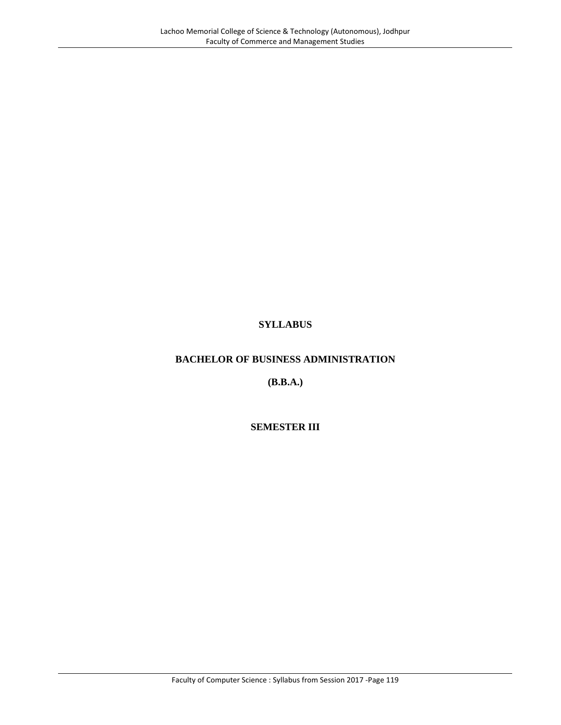# **SYLLABUS**

# **BACHELOR OF BUSINESS ADMINISTRATION**

**(B.B.A.)**

**SEMESTER III**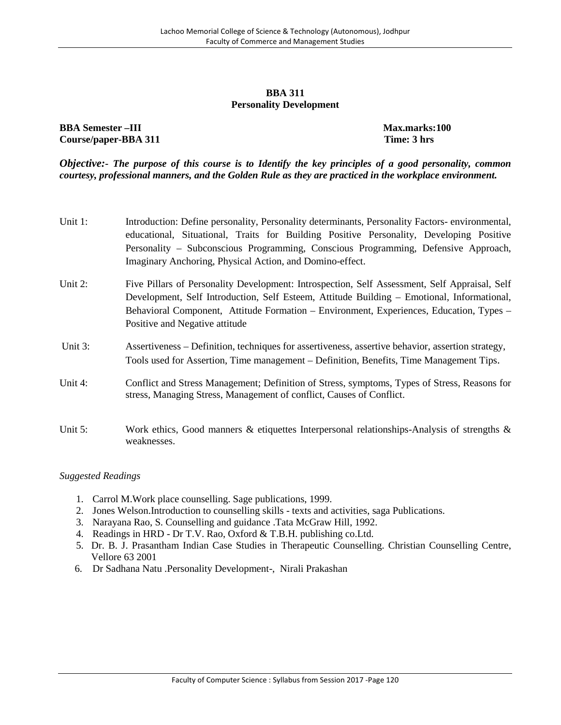#### **BBA 311 Personality Development**

**BBA Semester –III Max.marks:100 Course/paper-BBA 311 Time: 3 hrs**

*Objective:***-** *The purpose of this course is to Identify the key principles of a good personality, common courtesy, professional manners, and the Golden Rule as they are practiced in the workplace environment.*

- Unit 1: Introduction: Define personality, Personality determinants, Personality Factors- environmental, educational, Situational, Traits for Building Positive Personality, Developing Positive Personality – Subconscious Programming, Conscious Programming, Defensive Approach, Imaginary Anchoring, Physical Action, and Domino-effect.
- Unit 2: Five Pillars of Personality Development: Introspection, Self Assessment, Self Appraisal, Self Development, Self Introduction, Self Esteem, Attitude Building – Emotional, Informational, Behavioral Component, Attitude Formation – Environment, Experiences, Education, Types – Positive and Negative attitude
- Unit 3: Assertiveness Definition, techniques for assertiveness, assertive behavior, assertion strategy, Tools used for Assertion, Time management – Definition, Benefits, Time Management Tips.
- Unit 4: Conflict and Stress Management; Definition of Stress, symptoms, Types of Stress, Reasons for stress, Managing Stress, Management of conflict, Causes of Conflict.
- Unit 5: Work ethics, Good manners & etiquettes Interpersonal relationships-Analysis of strengths & weaknesses.

- 1. Carrol M.Work place counselling. Sage publications, 1999.
- 2. Jones Welson.Introduction to counselling skills texts and activities, saga Publications.
- 3. Narayana Rao, S. Counselling and guidance .Tata McGraw Hill, 1992.
- 4. Readings in HRD Dr T.V. Rao, Oxford & T.B.H. publishing co.Ltd.
- 5. Dr. B. J. Prasantham Indian Case Studies in Therapeutic Counselling. Christian Counselling Centre, Vellore 63 2001
- 6. Dr Sadhana Natu .Personality Development-, Nirali Prakashan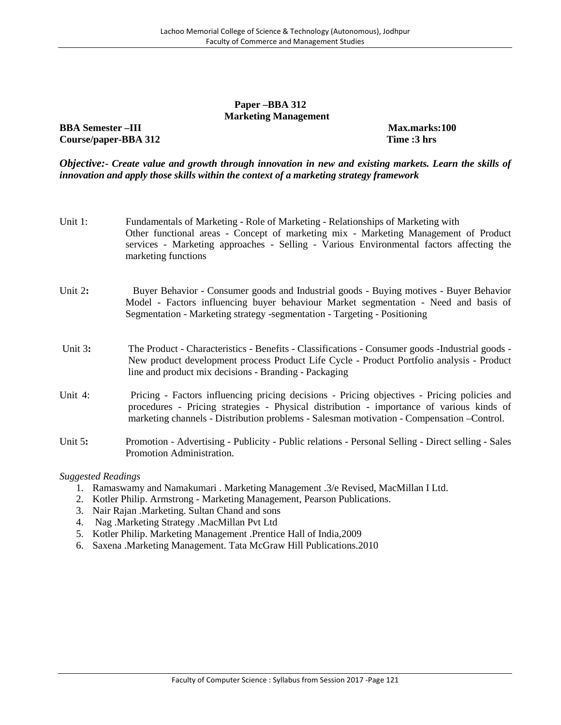# **Paper –BBA 312 Marketing Management**

**BBA Semester** –**III Max.marks:100 Course/paper-BBA 312 Time :3 hrs**

*Objective:***-** *Create value and growth through innovation in new and existing markets. Learn the skills of innovation and apply those skills within the context of a marketing strategy framework*

Unit 1: Fundamentals of Marketing - Role of Marketing - Relationships of Marketing with Other functional areas - Concept of marketing mix - Marketing Management of Product services - Marketing approaches - Selling - Various Environmental factors affecting the marketing functions Unit 2: Buyer Behavior - Consumer goods and Industrial goods - Buying motives - Buyer Behavior Model - Factors influencing buyer behaviour Market segmentation - Need and basis of Segmentation - Marketing strategy -segmentation - Targeting - Positioning Unit 3: The Product - Characteristics - Benefits - Classifications - Consumer goods -Industrial goods -New product development process Product Life Cycle - Product Portfolio analysis - Product line and product mix decisions - Branding - Packaging Unit 4: Pricing - Factors influencing pricing decisions - Pricing objectives - Pricing policies and procedures - Pricing strategies - Physical distribution - importance of various kinds of marketing channels - Distribution problems - Salesman motivation - Compensation –Control. Unit 5**:** Promotion - Advertising - Publicity - Public relations - Personal Selling - Direct selling - Sales

*Suggested Readings*

- 1. Ramaswamy and Namakumari . Marketing Management .3/e Revised, MacMillan I Ltd.
- 2. Kotler Philip. Armstrong Marketing Management, Pearson Publications.
- 3. Nair Rajan .Marketing. Sultan Chand and sons

Promotion Administration.

- 4. Nag .Marketing Strategy .MacMillan Pvt Ltd
- 5. Kotler Philip. Marketing Management .Prentice Hall of India,2009
- 6. Saxena .Marketing Management. Tata McGraw Hill Publications.2010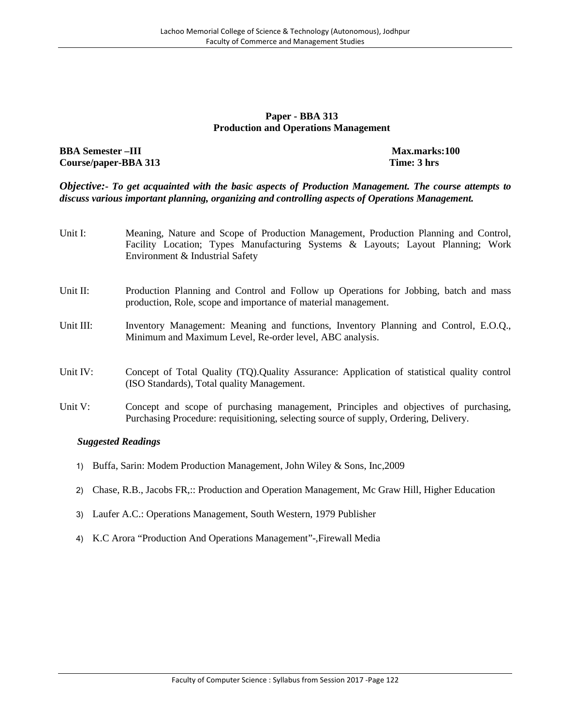#### **Paper - BBA 313 Production and Operations Management**

**BBA Semester –III Max.marks:100 Course/paper-BBA 313 Time: 3 hrs**

*Objective:***-** *To get acquainted with the basic aspects of Production Management. The course attempts to discuss various important planning, organizing and controlling aspects of Operations Management.*

| Unit I:   | Meaning, Nature and Scope of Production Management, Production Planning and Control,<br>Facility Location; Types Manufacturing Systems & Layouts; Layout Planning; Work<br>Environment & Industrial Safety |
|-----------|------------------------------------------------------------------------------------------------------------------------------------------------------------------------------------------------------------|
| Unit II:  | Production Planning and Control and Follow up Operations for Jobbing, batch and mass<br>production, Role, scope and importance of material management.                                                     |
| Unit III: | Inventory Management: Meaning and functions, Inventory Planning and Control, E.O.Q.,<br>Minimum and Maximum Level, Re-order level, ABC analysis.                                                           |
| Unit IV:  | Concept of Total Quality (TQ). Quality Assurance: Application of statistical quality control<br>(ISO Standards), Total quality Management.                                                                 |
| Unit V:   | Concept and scope of purchasing management, Principles and objectives of purchasing,<br>Purchasing Procedure: requisitioning, selecting source of supply, Ordering, Delivery.                              |

- 1) Buffa, Sarin: Modem Production Management, John Wiley & Sons, Inc,2009
- 2) Chase, R.B., Jacobs FR,:: Production and Operation Management, Mc Graw Hill, Higher Education
- 3) Laufer A.C.: Operations Management, South Western, 1979 Publisher
- 4) K.C Arora "Production And Operations Management"-,Firewall Media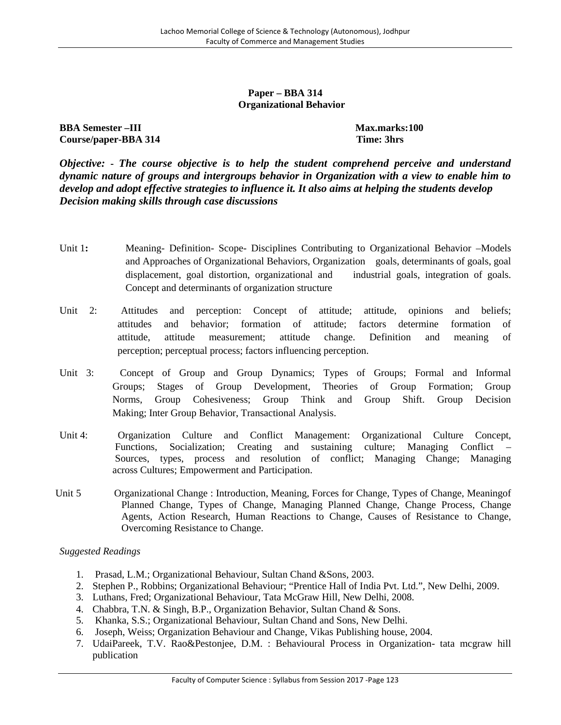**Paper – BBA 314 Organizational Behavior**

**BBA Semester** –**III Max.marks:100 Course/paper-BBA 314 Time: 3hrs**

*Objective:* **-** *The course objective is to help the student comprehend perceive and understand dynamic nature of groups and intergroups behavior in Organization with a view to enable him to develop and adopt effective strategies to influence it. It also aims at helping the students develop Decision making skills through case discussions*

- Unit 1**:** Meaning- Definition- Scope- Disciplines Contributing to Organizational Behavior –Models and Approaches of Organizational Behaviors, Organization goals, determinants of goals, goal displacement, goal distortion, organizational and industrial goals, integration of goals. Concept and determinants of organization structure
- Unit 2: Attitudes and perception: Concept of attitude; attitude, opinions and beliefs; attitudes and behavior; formation of attitude; factors determine formation of attitude, attitude measurement; attitude change. Definition and meaning of perception; perceptual process; factors influencing perception.
- Unit 3: Concept of Group and Group Dynamics; Types of Groups; Formal and Informal Groups; Stages of Group Development, Theories of Group Formation; Group Norms, Group Cohesiveness; Group Think and Group Shift. Group Decision Making; Inter Group Behavior, Transactional Analysis.
- Unit 4: Organization Culture and Conflict Management: Organizational Culture Concept, Functions, Socialization; Creating and sustaining culture; Managing Conflict – Sources, types, process and resolution of conflict; Managing Change; Managing across Cultures; Empowerment and Participation.
- Unit 5 Organizational Change : Introduction, Meaning, Forces for Change, Types of Change, Meaningof Planned Change, Types of Change, Managing Planned Change, Change Process, Change Agents, Action Research, Human Reactions to Change, Causes of Resistance to Change, Overcoming Resistance to Change.

- 1. Prasad, L.M.; Organizational Behaviour, Sultan Chand &Sons, 2003.
- 2. Stephen P., Robbins; Organizational Behaviour; "Prentice Hall of India Pvt. Ltd.", New Delhi, 2009.
- 3. Luthans, Fred; Organizational Behaviour, Tata McGraw Hill, New Delhi, 2008.
- 4. Chabbra, T.N. & Singh, B.P., Organization Behavior, Sultan Chand & Sons.
- 5. Khanka, S.S.; Organizational Behaviour, Sultan Chand and Sons, New Delhi.
- 6. Joseph, Weiss; Organization Behaviour and Change, Vikas Publishing house, 2004.
- 7. UdaiPareek, T.V. Rao&Pestonjee, D.M. : Behavioural Process in Organization- tata mcgraw hill publication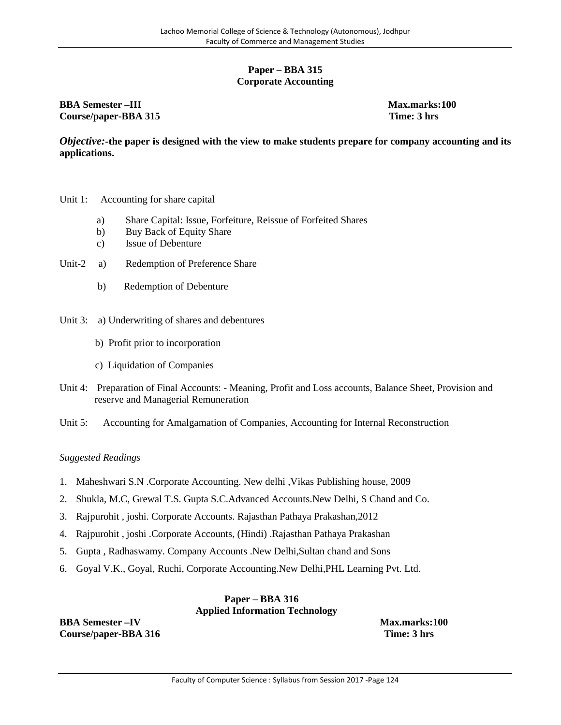# **Paper – BBA 315 Corporate Accounting**

#### **BBA Semester** –**III Max.marks:100 Course/paper-BBA 315 Time: 3 hrs**

*Objective:***-the paper is designed with the view to make students prepare for company accounting and its applications.**

- Unit 1: Accounting for share capital
	- a) Share Capital: Issue, Forfeiture, Reissue of Forfeited Shares
	- b) Buy Back of Equity Share
	- c) Issue of Debenture
- Unit-2 a) Redemption of Preference Share
	- b) Redemption of Debenture
- Unit 3: a) Underwriting of shares and debentures
	- b) Profit prior to incorporation
	- c) Liquidation of Companies
- Unit 4: Preparation of Final Accounts: Meaning, Profit and Loss accounts, Balance Sheet, Provision and reserve and Managerial Remuneration
- Unit 5: Accounting for Amalgamation of Companies, Accounting for Internal Reconstruction

#### *Suggested Readings*

- 1. Maheshwari S.N .Corporate Accounting. New delhi ,Vikas Publishing house, 2009
- 2. Shukla, M.C, Grewal T.S. Gupta S.C.Advanced Accounts.New Delhi, S Chand and Co.
- 3. Rajpurohit , joshi. Corporate Accounts. Rajasthan Pathaya Prakashan,2012
- 4. Rajpurohit , joshi .Corporate Accounts, (Hindi) .Rajasthan Pathaya Prakashan
- 5. Gupta , Radhaswamy. Company Accounts .New Delhi,Sultan chand and Sons
- 6. Goyal V.K., Goyal, Ruchi, Corporate Accounting.New Delhi,PHL Learning Pvt. Ltd.

#### **Paper – BBA 316 Applied Information Technology**

**BBA Semester –IV Max.marks:100 Course/paper-BBA 316 Time: 3 hrs**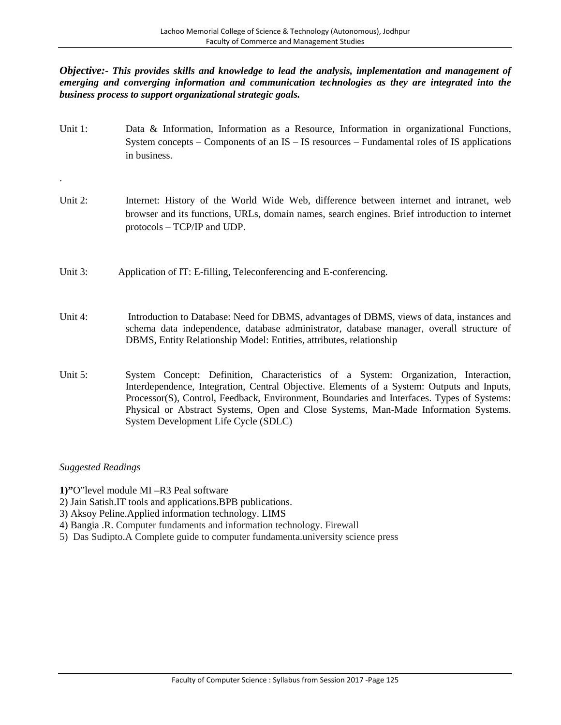*Objective:***-** *This provides skills and knowledge to lead the analysis, implementation and management of emerging and converging information and communication technologies as they are integrated into the business process to support organizational strategic goals.*

- Unit 1: Data & Information, Information as a Resource, Information in organizational Functions, System concepts – Components of an IS – IS resources – Fundamental roles of IS applications in business.
- .Unit 2: Internet: History of the World Wide Web, difference between internet and intranet, web browser and its functions, URLs, domain names, search engines. Brief introduction to internet protocols – TCP/IP and UDP.
- Unit 3: Application of IT: E-filling, Teleconferencing and E-conferencing.
- Unit 4: Introduction to Database: Need for DBMS, advantages of DBMS, views of data, instances and schema data independence, database administrator, database manager, overall structure of DBMS, Entity Relationship Model: Entities, attributes, relationship
- Unit 5: System Concept: Definition, Characteristics of a System: Organization, Interaction, Interdependence, Integration, Central Objective. Elements of a System: Outputs and Inputs, Processor(S), Control, Feedback, Environment, Boundaries and Interfaces. Types of Systems: Physical or Abstract Systems, Open and Close Systems, Man-Made Information Systems. System Development Life Cycle (SDLC)

#### *Suggested Readings*

**1)"**O"level module MI –R3 Peal software

- 2) Jain Satish.IT tools and applications.BPB publications.
- 3) Aksoy Peline.Applied information technology. LIMS
- 4) Bangia .R. Computer fundaments and information technology. Firewall
- 5) Das Sudipto.A Complete guide to computer fundamenta.university science press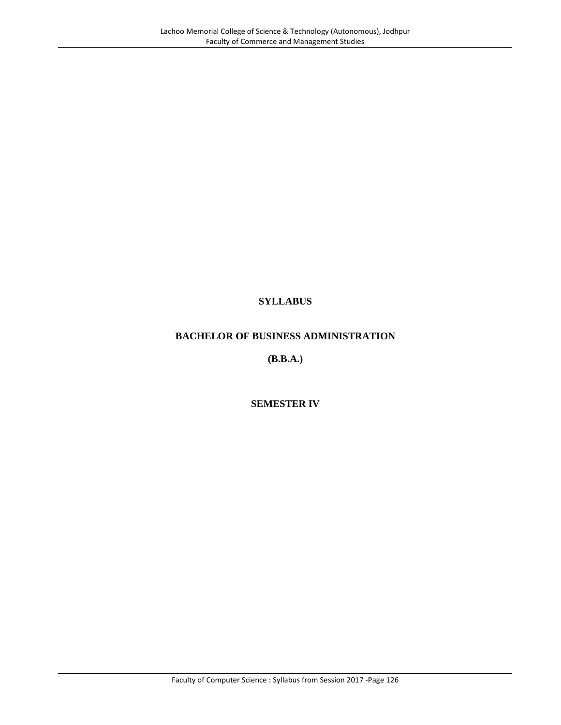# **SYLLABUS**

# **BACHELOR OF BUSINESS ADMINISTRATION**

**(B.B.A.)**

# **SEMESTER IV**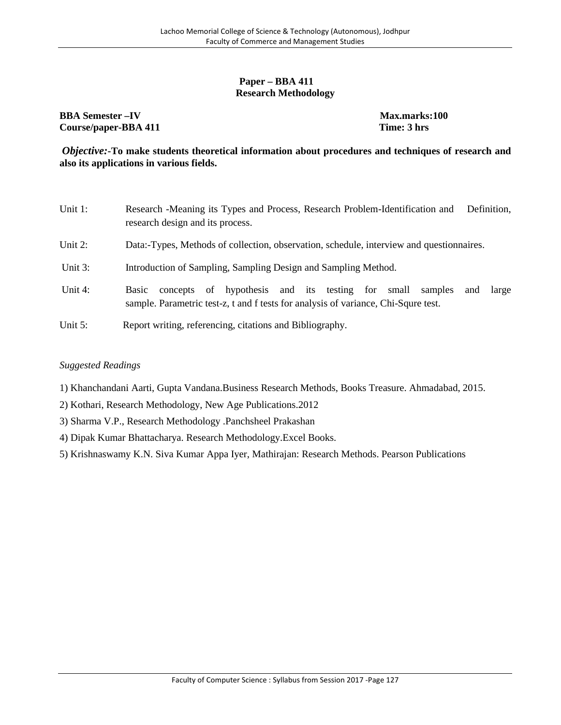# **Paper – BBA 411 Research Methodology**

**BBA Semester –IV Max.marks:100 Course/paper-BBA 411 Time: 3 hrs**

*Objective:***-To make students theoretical information about procedures and techniques of research and also its applications in various fields.**

- Unit 1: Research -Meaning its Types and Process, Research Problem-Identification and Definition, research design and its process. Unit 2: Data:-Types, Methods of collection, observation, schedule, interview and questionnaires. Unit 3: Introduction of Sampling, Sampling Design and Sampling Method. Unit 4: Basic concepts of hypothesis and its testing for small samples and large sample. Parametric test-z, t and f tests for analysis of variance, Chi-Squre test.
- Unit 5: Report writing, referencing, citations and Bibliography.

- 1) Khanchandani Aarti, Gupta Vandana.Business Research Methods, Books Treasure. Ahmadabad, 2015.
- 2) Kothari, Research Methodology, New Age Publications.2012
- 3) Sharma V.P., Research Methodology .Panchsheel Prakashan
- 4) Dipak Kumar Bhattacharya. Research Methodology.Excel Books.
- 5) Krishnaswamy K.N. Siva Kumar Appa Iyer, Mathirajan: Research Methods. Pearson Publications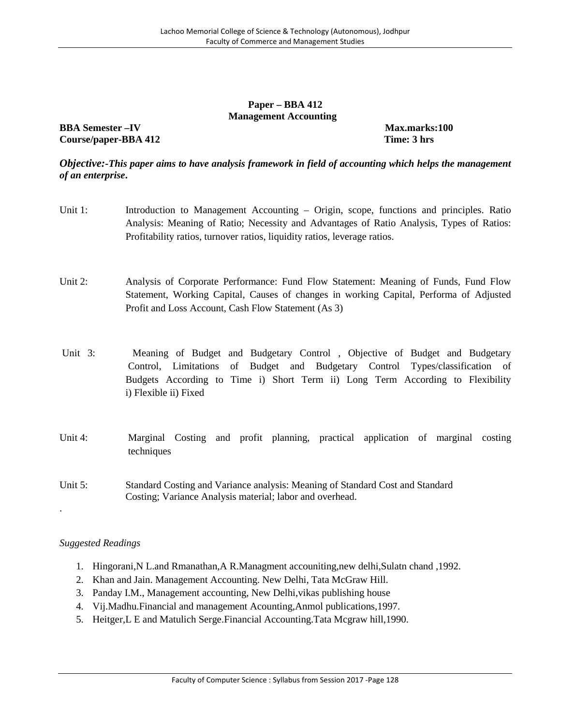# **Paper – BBA 412 Management Accounting**

# **BBA Semester –IV Max.marks:100 Course/paper-BBA 412 Time: 3 hrs**

*Objective:***-***This paper aims to have analysis framework in field of accounting which helps the management of an enterprise***.**

- Unit 1: Introduction to Management Accounting Origin, scope, functions and principles. Ratio Analysis: Meaning of Ratio; Necessity and Advantages of Ratio Analysis, Types of Ratios: Profitability ratios, turnover ratios, liquidity ratios, leverage ratios.
- Unit 2: Analysis of Corporate Performance: Fund Flow Statement: Meaning of Funds, Fund Flow Statement, Working Capital, Causes of changes in working Capital, Performa of Adjusted Profit and Loss Account, Cash Flow Statement (As 3)
- Unit 3: Meaning of Budget and Budgetary Control, Objective of Budget and Budgetary Control, Limitations of Budget and Budgetary Control Types/classification of Budgets According to Time i) Short Term ii) Long Term According to Flexibility i) Flexible ii) Fixed
- Unit 4: Marginal Costing and profit planning, practical application of marginal costing techniques
- Unit 5: Standard Costing and Variance analysis: Meaning of Standard Cost and Standard Costing; Variance Analysis material; labor and overhead.

#### *Suggested Readings*

.

- 1. Hingorani,N L.and Rmanathan,A R.Managment accouniting,new delhi,Sulatn chand ,1992.
- 2. Khan and Jain. Management Accounting. New Delhi, Tata McGraw Hill.
- 3. Panday I.M., Management accounting, New Delhi,vikas publishing house
- 4. Vij.Madhu.Financial and management Acounting,Anmol publications,1997.
- 5. Heitger,L E and Matulich Serge.Financial Accounting.Tata Mcgraw hill,1990.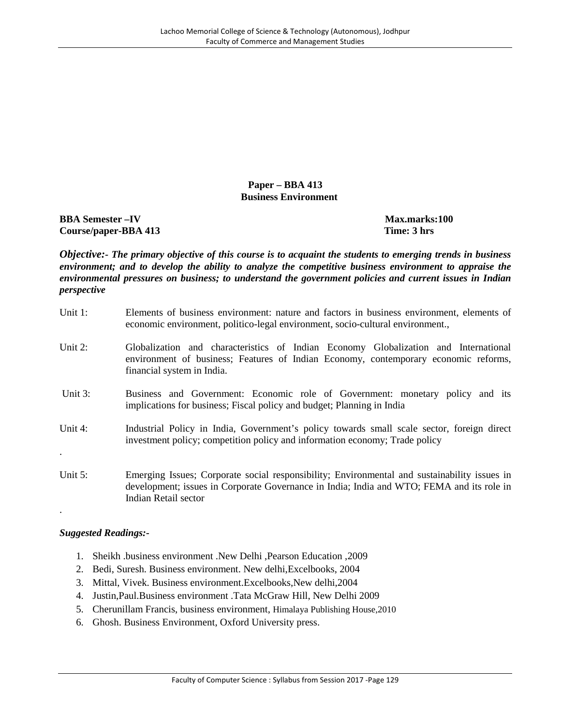# **Paper – BBA 413 Business Environment**

**BBA Semester**  $-IV$  **Max.marks:100 Course/paper-BBA 413 Time: 3 hrs**

*Objective:- The primary objective of this course is to acquaint the students to emerging trends in business environment; and to develop the ability to analyze the competitive business environment to appraise the environmental pressures on business; to understand the government policies and current issues in Indian perspective*

| Unit 1:                 | Elements of business environment: nature and factors in business environment, elements of<br>economic environment, politico-legal environment, socio-cultural environment.,                                       |
|-------------------------|-------------------------------------------------------------------------------------------------------------------------------------------------------------------------------------------------------------------|
| Unit $2$ :              | Globalization and characteristics of Indian Economy Globalization and International<br>environment of business; Features of Indian Economy, contemporary economic reforms,<br>financial system in India.          |
| Unit 3:                 | Business and Government: Economic role of Government: monetary policy and its<br>implications for business; Fiscal policy and budget; Planning in India                                                           |
| Unit $4$ :<br>$\bullet$ | Industrial Policy in India, Government's policy towards small scale sector, foreign direct<br>investment policy; competition policy and information economy; Trade policy                                         |
| Unit 5:                 | Emerging Issues; Corporate social responsibility; Environmental and sustainability issues in<br>development; issues in Corporate Governance in India; India and WTO; FEMA and its role in<br>Indian Retail sector |

#### *Suggested Readings:-*

.

- 1. Sheikh .business environment .New Delhi ,Pearson Education ,2009
- 2. Bedi, Suresh. Business environment. New delhi,Excelbooks, 2004
- 3. Mittal, Vivek. Business environment.Excelbooks,New delhi,2004
- 4. Justin,Paul.Business environment .Tata McGraw Hill, New Delhi 2009
- 5. Cherunillam Francis, business environment, Himalaya Publishing House,2010
- 6. Ghosh. Business Environment, Oxford University press.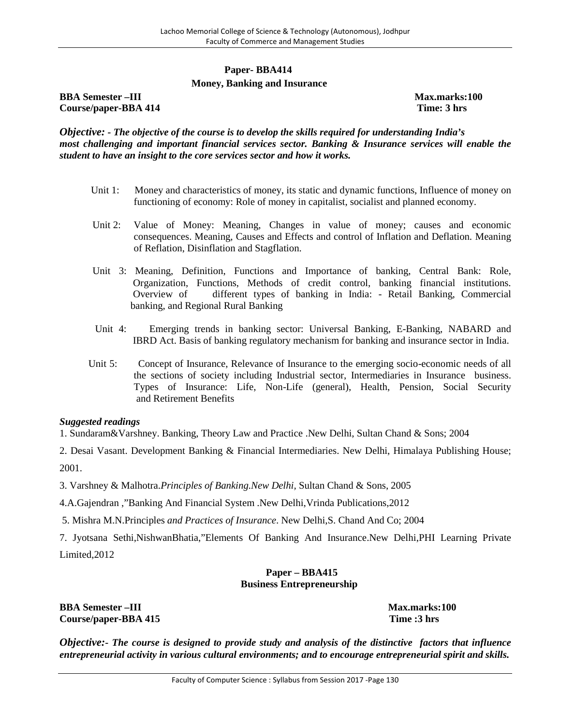# **Paper- BBA414 Money, Banking and Insurance**

# **BBA Semester –III Max.marks:100 Course/paper-BBA 414 Time: 3 hrs**

*Objective: - The objective of the course is to develop the skills required for understanding India's most challenging and important financial services sector. Banking & Insurance services will enable the student to have an insight to the core services sector and how it works.*

- Unit 1: Money and characteristics of money, its static and dynamic functions, Influence of money on functioning of economy: Role of money in capitalist, socialist and planned economy.
- Unit 2: Value of Money: Meaning, Changes in value of money; causes and economic consequences. Meaning, Causes and Effects and control of Inflation and Deflation. Meaning of Reflation, Disinflation and Stagflation.
- Unit 3: Meaning, Definition, Functions and Importance of banking, Central Bank: Role, Organization, Functions, Methods of credit control, banking financial institutions. Overview of different types of banking in India: - Retail Banking, Commercial banking, and Regional Rural Banking
- Unit 4: Emerging trends in banking sector: Universal Banking, E-Banking, NABARD and IBRD Act. Basis of banking regulatory mechanism for banking and insurance sector in India.
- Unit 5: Concept of Insurance, Relevance of Insurance to the emerging socio-economic needs of all the sections of society including Industrial sector, Intermediaries in Insurance business. Types of Insurance: Life, Non-Life (general), Health, Pension, Social Security and Retirement Benefits

#### *Suggested readings*

1. Sundaram&Varshney. Banking, Theory Law and Practice .New Delhi, Sultan Chand & Sons; 2004

2. Desai Vasant. Development Banking & Financial Intermediaries. New Delhi, Himalaya Publishing House; 2001.

3. Varshney & Malhotra.*Principles of Banking.New Delhi,* Sultan Chand & Sons, 2005

4.A.Gajendran ,"Banking And Financial System .New Delhi,Vrinda Publications,2012

5. Mishra M.N.Principles *and Practices of Insurance*. New Delhi,S. Chand And Co; 2004

7. Jyotsana Sethi,NishwanBhatia,"Elements Of Banking And Insurance.New Delhi,PHI Learning Private Limited,2012

# **Paper – BBA415 Business Entrepreneurship**

**BBA Semester –III Max.marks:100 Course/paper-BBA 415 Time :3 hrs**

*Objective:***-** *The course is designed to provide study and analysis of the distinctive factors that influence entrepreneurial activity in various cultural environments; and to encourage entrepreneurial spirit and skills.*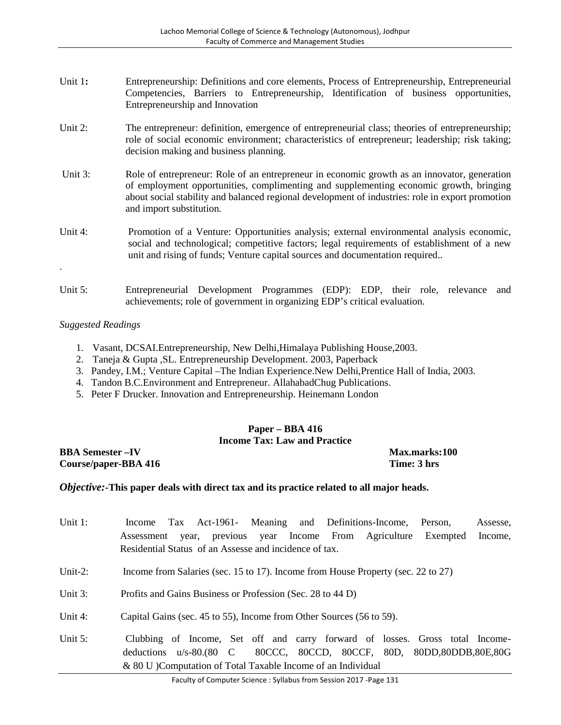| Unit 1: |                                 |  | Entrepreneurship: Definitions and core elements, Process of Entrepreneurship, Entrepreneurial |  |  |  |
|---------|---------------------------------|--|-----------------------------------------------------------------------------------------------|--|--|--|
|         |                                 |  | Competencies, Barriers to Entrepreneurship, Identification of business opportunities,         |  |  |  |
|         | Entrepreneurship and Innovation |  |                                                                                               |  |  |  |
|         |                                 |  |                                                                                               |  |  |  |

- Unit 2: The entrepreneur: definition, emergence of entrepreneurial class; theories of entrepreneurship; role of social economic environment; characteristics of entrepreneur; leadership; risk taking; decision making and business planning.
- Unit 3: Role of entrepreneur: Role of an entrepreneur in economic growth as an innovator, generation of employment opportunities, complimenting and supplementing economic growth, bringing about social stability and balanced regional development of industries: role in export promotion and import substitution.
- Unit 4: Promotion of a Venture: Opportunities analysis; external environmental analysis economic, social and technological; competitive factors; legal requirements of establishment of a new unit and rising of funds; Venture capital sources and documentation required..
- .Unit 5: Entrepreneurial Development Programmes (EDP): EDP, their role, relevance and achievements; role of government in organizing EDP's critical evaluation.

# *Suggested Readings*

- 1. Vasant, DCSAI.Entrepreneurship, New Delhi,Himalaya Publishing House,2003.
- 2. Taneja & Gupta ,SL. Entrepreneurship Development. 2003, Paperback
- 3. Pandey, I.M.; Venture Capital –The Indian Experience.New Delhi,Prentice Hall of India, 2003.
- 4. Tandon B.C.Environment and Entrepreneur. AllahabadChug Publications.
- 5. Peter F Drucker. Innovation and Entrepreneurship. Heinemann London

#### **Paper – BBA 416 Income Tax: Law and Practice**

# **BBA Semester –IV Max.marks:100 Course/paper-BBA 416 Time: 3 hrs**

#### *Objective:***-This paper deals with direct tax and its practice related to all major heads.**

- Unit 1: Income Tax Act-1961- Meaning and Definitions-Income, Person, Assesse, Assessment year, previous year Income From Agriculture Exempted Income, Residential Status of an Assesse and incidence of tax.
- Unit-2: Income from Salaries (sec. 15 to 17). Income from House Property (sec. 22 to 27)
- Unit 3: Profits and Gains Business or Profession (Sec. 28 to 44 D)
- Unit 4: Capital Gains (sec. 45 to 55), Income from Other Sources (56 to 59).
- Unit 5: Clubbing of Income, Set off and carry forward of losses. Gross total Income deductions u/s-80.(80 C 80CCC, 80CCD, 80CCF, 80D, 80DD,80DDB,80E,80G & 80 U )Computation of Total Taxable Income of an Individual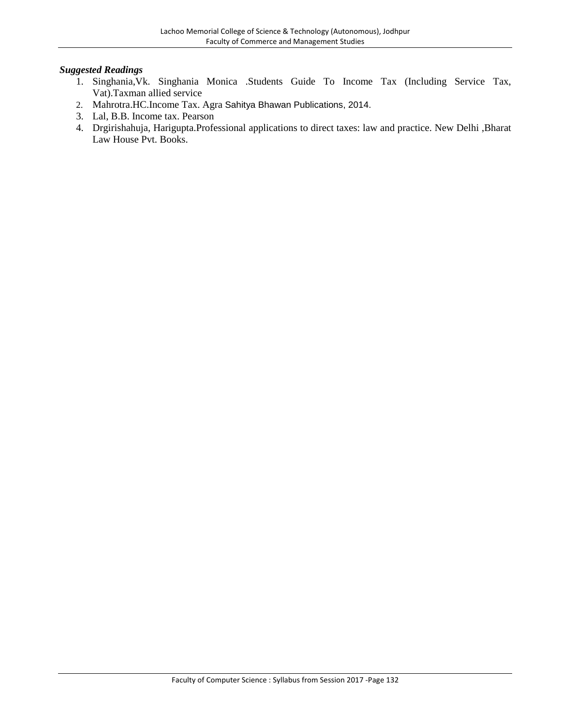- 1. Singhania,Vk. Singhania Monica .Students Guide To Income Tax (Including Service Tax, Vat).Taxman allied service
- 2. Mahrotra.HC.Income Tax. Agra Sahitya Bhawan Publications, 2014.
- 3. Lal, B.B. Income tax. Pearson
- 4. Drgirishahuja, Harigupta.Professional applications to direct taxes: law and practice. New Delhi ,Bharat Law House Pvt. Books.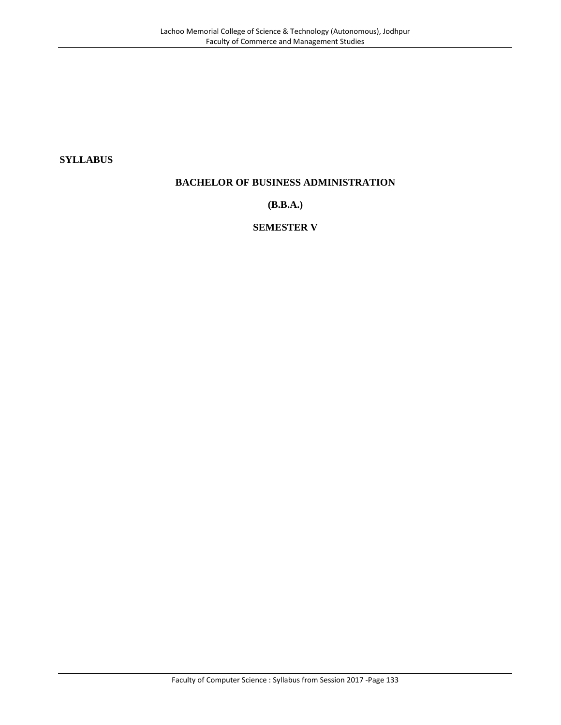**SYLLABUS**

#### **BACHELOR OF BUSINESS ADMINISTRATION**

# **(B.B.A.)**

# **SEMESTER V**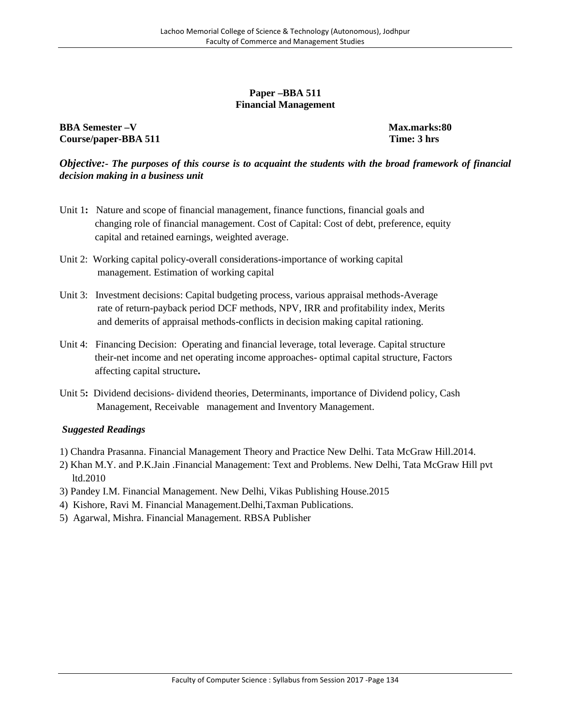# **Paper –BBA 511 Financial Management**

**BBA Semester –V Max.marks:80 Course/paper-BBA 511 Time: 3 hrs**

*Objective:- The purposes of this course is to acquaint the students with the broad framework of financial decision making in a business unit*

- Unit 1**:** Nature and scope of financial management, finance functions, financial goals and changing role of financial management. Cost of Capital: Cost of debt, preference, equity capital and retained earnings, weighted average.
- Unit 2: Working capital policy-overall considerations-importance of working capital management. Estimation of working capital
- Unit 3: Investment decisions: Capital budgeting process, various appraisal methods-Average rate of return-payback period DCF methods, NPV, IRR and profitability index, Merits and demerits of appraisal methods-conflicts in decision making capital rationing.
- Unit 4: Financing Decision: Operating and financial leverage, total leverage. Capital structure their-net income and net operating income approaches- optimal capital structure, Factors affecting capital structure**.**
- Unit 5**:** Dividend decisions- dividend theories, Determinants, importance of Dividend policy, Cash Management, Receivable management and Inventory Management.

- 1) Chandra Prasanna. Financial Management Theory and Practice New Delhi. Tata McGraw Hill.2014.
- 2) Khan M.Y. and P.K.Jain .Financial Management: Text and Problems. New Delhi, Tata McGraw Hill pvt ltd.2010
- 3) Pandey I.M. Financial Management. New Delhi, Vikas Publishing House.2015
- 4) Kishore, Ravi M. Financial Management.Delhi,Taxman Publications.
- 5) Agarwal, Mishra. Financial Management. RBSA Publisher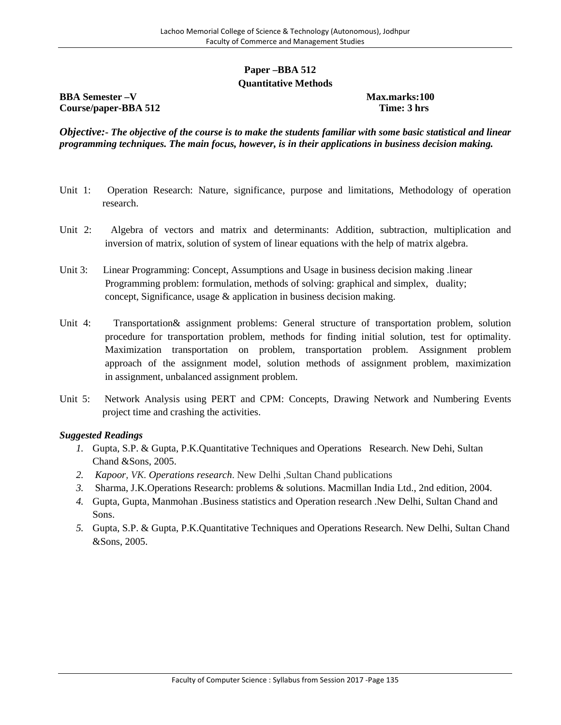# **Paper –BBA 512 Quantitative Methods**

**BBA Semester –V Max.marks:100 Course/paper-BBA 512 Time: 3 hrs**

*Objective:***-** *The objective of the course is to make the students familiar with some basic statistical and linear programming techniques. The main focus, however, is in their applications in business decision making.*

- Unit 1: Operation Research: Nature, significance, purpose and limitations, Methodology of operation research.
- Unit 2: Algebra of vectors and matrix and determinants: Addition, subtraction, multiplication and inversion of matrix, solution of system of linear equations with the help of matrix algebra.
- Unit 3: Linear Programming: Concept, Assumptions and Usage in business decision making .linear Programming problem: formulation, methods of solving: graphical and simplex, duality; concept, Significance, usage & application in business decision making.
- Unit 4: Transportation& assignment problems: General structure of transportation problem, solution procedure for transportation problem, methods for finding initial solution, test for optimality. Maximization transportation on problem, transportation problem. Assignment problem approach of the assignment model, solution methods of assignment problem, maximization in assignment, unbalanced assignment problem.
- Unit 5: Network Analysis using PERT and CPM: Concepts, Drawing Network and Numbering Events project time and crashing the activities.

- *1.* Gupta, S.P. & Gupta, P.K.Quantitative Techniques and Operations Research. New Dehi, Sultan Chand &Sons, 2005.
- *2. Kapoor, VK. Operations research*. New Delhi ,Sultan Chand publications
- *3.* Sharma, J.K.Operations Research: problems & solutions. Macmillan India Ltd., 2nd edition, 2004.
- *4.* Gupta, Gupta, Manmohan .Business statistics and Operation research .New Delhi, Sultan Chand and Sons.
- *5.* Gupta, S.P. & Gupta, P.K.Quantitative Techniques and Operations Research. New Delhi, Sultan Chand &Sons, 2005.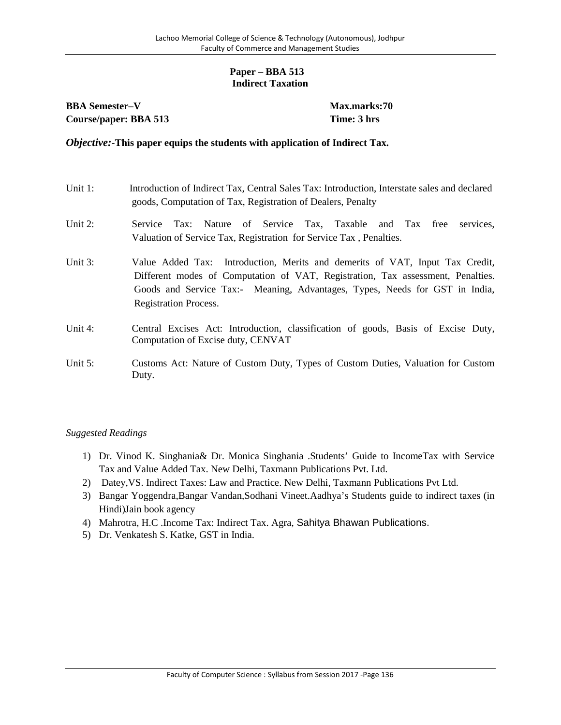# **Paper – BBA 513 Indirect Taxation**

**BBA Semester–V Max.marks:70 Course/paper: BBA 513 Time: 3 hrs**

*Objective:***-This paper equips the students with application of Indirect Tax.**

- Unit 1: Introduction of Indirect Tax, Central Sales Tax: Introduction, Interstate sales and declared goods, Computation of Tax, Registration of Dealers, Penalty
- Unit 2: Service Tax: Nature of Service Tax, Taxable and Tax free services, Valuation of Service Tax, Registration for Service Tax , Penalties.
- Unit 3: Value Added Tax: Introduction, Merits and demerits of VAT, Input Tax Credit, Different modes of Computation of VAT, Registration, Tax assessment, Penalties. Goods and Service Tax:- Meaning, Advantages, Types, Needs for GST in India, Registration Process.
- Unit 4: Central Excises Act: Introduction, classification of goods, Basis of Excise Duty, Computation of Excise duty, CENVAT
- Unit 5: Customs Act: Nature of Custom Duty, Types of Custom Duties, Valuation for Custom Duty.

- 1) Dr. Vinod K. Singhania& Dr. Monica Singhania .Students' Guide to IncomeTax with Service Tax and Value Added Tax. New Delhi, Taxmann Publications Pvt. Ltd.
- 2) Datey,VS. Indirect Taxes: Law and Practice. New Delhi, Taxmann Publications Pvt Ltd.
- 3) Bangar Yoggendra,Bangar Vandan,Sodhani Vineet.Aadhya's Students guide to indirect taxes (in Hindi)Jain book agency
- 4) Mahrotra, H.C .Income Tax: Indirect Tax. Agra, Sahitya Bhawan Publications.
- 5) Dr. Venkatesh S. Katke, GST in India.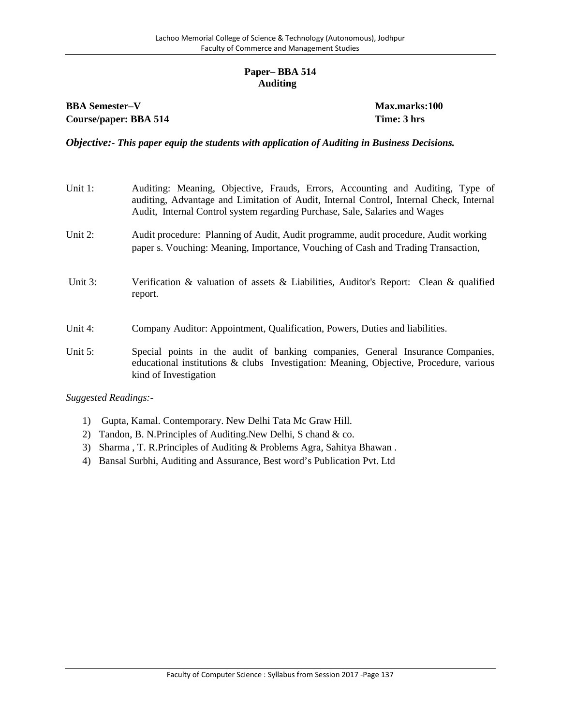# **Paper– BBA 514 Auditing**

# **BBA Semester–V Max.marks:100 Course/paper: BBA 514 Time: 3 hrs**

*Objective:***-** *This paper equip the students with application of Auditing in Business Decisions.*

| Unit 1: | Auditing: Meaning, Objective, Frauds, Errors, Accounting and Auditing, Type of<br>auditing, Advantage and Limitation of Audit, Internal Control, Internal Check, Internal<br>Audit, Internal Control system regarding Purchase, Sale, Salaries and Wages |
|---------|----------------------------------------------------------------------------------------------------------------------------------------------------------------------------------------------------------------------------------------------------------|
| Unit 2: | Audit procedure: Planning of Audit, Audit programme, audit procedure, Audit working<br>paper s. Vouching: Meaning, Importance, Vouching of Cash and Trading Transaction,                                                                                 |
| Unit 3: | Verification & valuation of assets & Liabilities, Auditor's Report: Clean & qualified<br>report.                                                                                                                                                         |
| Unit 4: | Company Auditor: Appointment, Qualification, Powers, Duties and liabilities.                                                                                                                                                                             |
| Unit 5: | Special points in the audit of banking companies, General Insurance Companies,<br>educational institutions & clubs Investigation: Meaning, Objective, Procedure, various<br>kind of Investigation                                                        |

- 1) Gupta, Kamal. Contemporary. New Delhi Tata Mc Graw Hill.
- 2) Tandon, B. N.Principles of Auditing.New Delhi, S chand & co.
- 3) Sharma , T. R.Principles of Auditing & Problems Agra, Sahitya Bhawan .
- 4) Bansal Surbhi, Auditing and Assurance, Best word's Publication Pvt. Ltd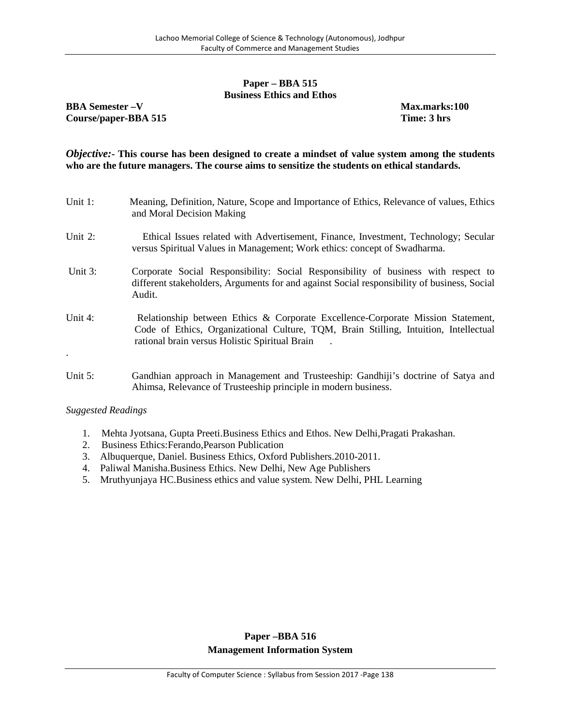#### **Paper – BBA 515 Business Ethics and Ethos**

**BBA Semester**  $-V$  **Max.marks:100 Course/paper-BBA 515 Time: 3 hrs**

*Objective:***- This course has been designed to create a mindset of value system among the students who are the future managers. The course aims to sensitize the students on ethical standards.**

| Unit 1: | Meaning, Definition, Nature, Scope and Importance of Ethics, Relevance of values, Ethics<br>and Moral Decision Making                                                                                                     |
|---------|---------------------------------------------------------------------------------------------------------------------------------------------------------------------------------------------------------------------------|
| Unit 2: | Ethical Issues related with Advertisement, Finance, Investment, Technology; Secular<br>versus Spiritual Values in Management; Work ethics: concept of Swadharma.                                                          |
| Unit 3: | Corporate Social Responsibility: Social Responsibility of business with respect to<br>different stakeholders, Arguments for and against Social responsibility of business, Social<br>Audit.                               |
| Unit 4: | Relationship between Ethics & Corporate Excellence-Corporate Mission Statement,<br>Code of Ethics, Organizational Culture, TQM, Brain Stilling, Intuition, Intellectual<br>rational brain versus Holistic Spiritual Brain |
| Unit 5: | Gandhian approach in Management and Trusteeship: Gandhiji's doctrine of Satya and<br>Ahimsa, Relevance of Trusteeship principle in modern business.                                                                       |

*Suggested Readings*

- 1. Mehta Jyotsana, Gupta Preeti.Business Ethics and Ethos. New Delhi,Pragati Prakashan.
- 2. Business Ethics:Ferando,Pearson Publication
- 3. Albuquerque, Daniel. Business Ethics, Oxford Publishers.2010-2011.
- 4. Paliwal Manisha.Business Ethics. New Delhi, New Age Publishers
- 5. Mruthyunjaya HC.Business ethics and value system. New Delhi, PHL Learning

# **Paper –BBA 516 Management Information System**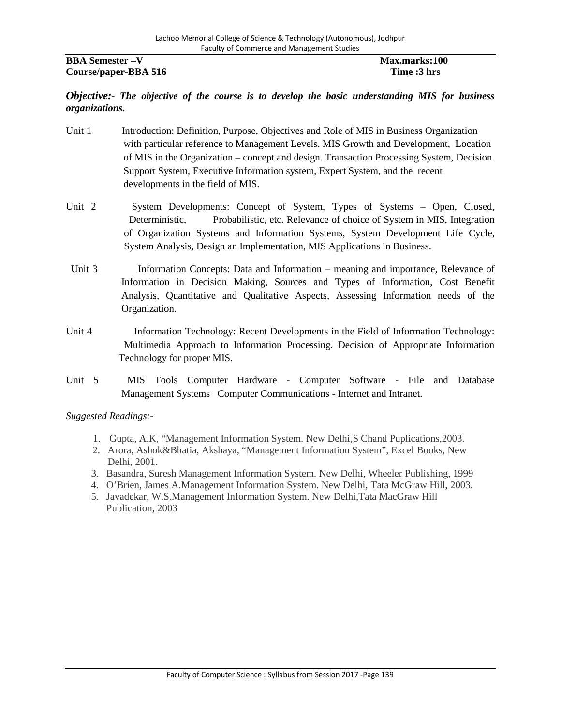# **BBA Semester**  $-V$  **Max.marks:100 Course/paper-BBA 516 Time :3 hrs**

# *Objective:***-** *The objective of the course is to develop the basic understanding MIS for business organizations.*

- Unit 1 Introduction: Definition, Purpose, Objectives and Role of MIS in Business Organization with particular reference to Management Levels. MIS Growth and Development, Location of MIS in the Organization – concept and design. Transaction Processing System, Decision Support System, Executive Information system, Expert System, and the recent developments in the field of MIS.
- Unit 2 System Developments: Concept of System, Types of Systems Open, Closed, Deterministic, Probabilistic, etc. Relevance of choice of System in MIS, Integration of Organization Systems and Information Systems, System Development Life Cycle, System Analysis, Design an Implementation, MIS Applications in Business.
- Unit 3 Information Concepts: Data and Information meaning and importance, Relevance of Information in Decision Making, Sources and Types of Information, Cost Benefit Analysis, Quantitative and Qualitative Aspects, Assessing Information needs of the Organization.
- Unit 4 Information Technology: Recent Developments in the Field of Information Technology: Multimedia Approach to Information Processing. Decision of Appropriate Information Technology for proper MIS.
- Unit 5 MIS Tools Computer Hardware Computer Software File and Database Management Systems Computer Communications - Internet and Intranet.

- 1. Gupta, A.K, "Management Information System. New Delhi,S Chand Puplications,2003.
- 2. Arora, Ashok&Bhatia, Akshaya, "Management Information System", Excel Books, New Delhi, 2001.
- 3. Basandra, Suresh Management Information System. New Delhi, Wheeler Publishing, 1999
- 4. O'Brien, James A.Management Information System. New Delhi, Tata McGraw Hill, 2003.
- 5. Javadekar, W.S.Management Information System. New Delhi,Tata MacGraw Hill Publication, 2003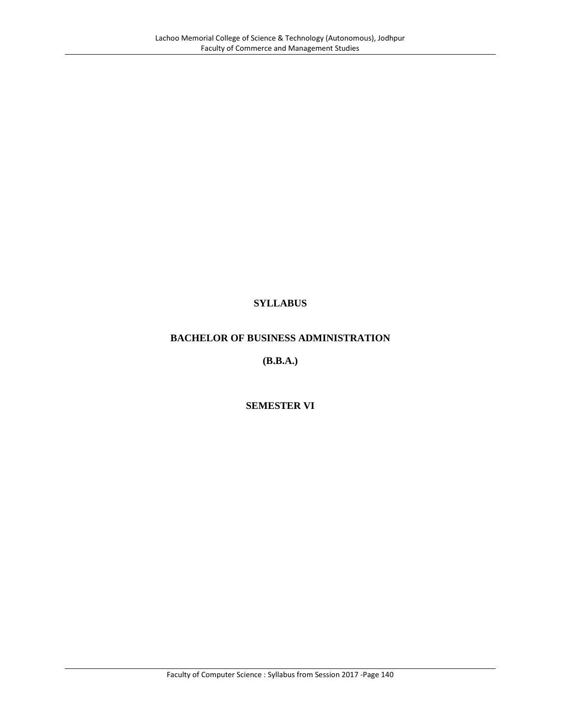# **SYLLABUS**

# **BACHELOR OF BUSINESS ADMINISTRATION**

**(B.B.A.)**

# **SEMESTER VI**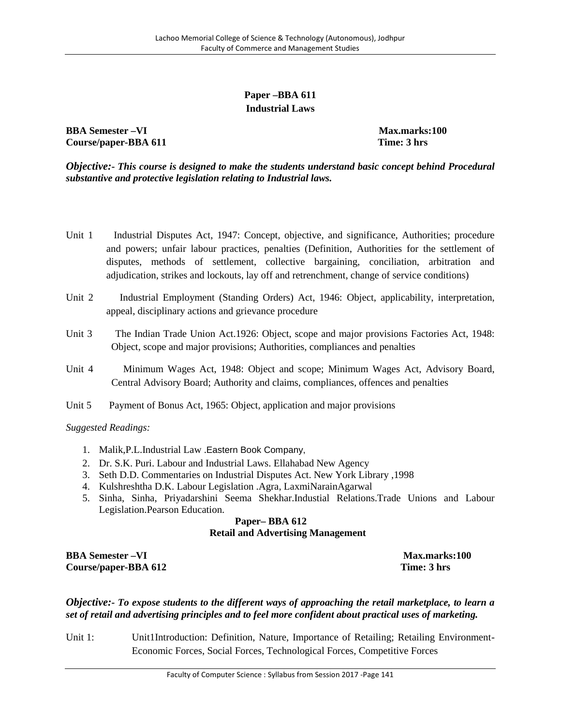# **Paper –BBA 611 Industrial Laws**

**BBA Semester –VI Max.marks:100 Course/paper-BBA 611** 

*Objective:***-** *This course is designed to make the students understand basic concept behind Procedural substantive and protective legislation relating to Industrial laws.*

- Unit 1 Industrial Disputes Act, 1947: Concept, objective, and significance, Authorities; procedure and powers; unfair labour practices, penalties (Definition, Authorities for the settlement of disputes, methods of settlement, collective bargaining, conciliation, arbitration and adjudication, strikes and lockouts, lay off and retrenchment, change of service conditions)
- Unit 2 Industrial Employment (Standing Orders) Act, 1946: Object, applicability, interpretation, appeal, disciplinary actions and grievance procedure
- Unit 3 The Indian Trade Union Act.1926: Object, scope and major provisions Factories Act, 1948: Object, scope and major provisions; Authorities, compliances and penalties
- Unit 4 Minimum Wages Act, 1948: Object and scope; Minimum Wages Act, Advisory Board, Central Advisory Board; Authority and claims, compliances, offences and penalties
- Unit 5 Payment of Bonus Act, 1965: Object, application and major provisions

*Suggested Readings:*

- 1. Malik,P.L.Industrial Law .Eastern Book Company,
- 2. Dr. S.K. Puri. Labour and Industrial Laws. Ellahabad New Agency
- 3. Seth D.D. Commentaries on Industrial Disputes Act. New York Library ,1998
- 4. Kulshreshtha D.K. Labour Legislation .Agra, LaxmiNarainAgarwal
- 5. Sinha, Sinha, Priyadarshini Seema Shekhar.Industial Relations.Trade Unions and Labour Legislation.Pearson Education.

# **Paper– BBA 612 Retail and Advertising Management**

**BBA Semester –VI Max.marks:100 Course/paper-BBA 612 Time: 3 hrs**

#### *Objective:- To expose students to the different ways of approaching the retail marketplace, to learn a set of retail and advertising principles and to feel more confident about practical uses of marketing.*

Unit 1: Unit1Introduction: Definition, Nature, Importance of Retailing; Retailing Environment- Economic Forces, Social Forces, Technological Forces, Competitive Forces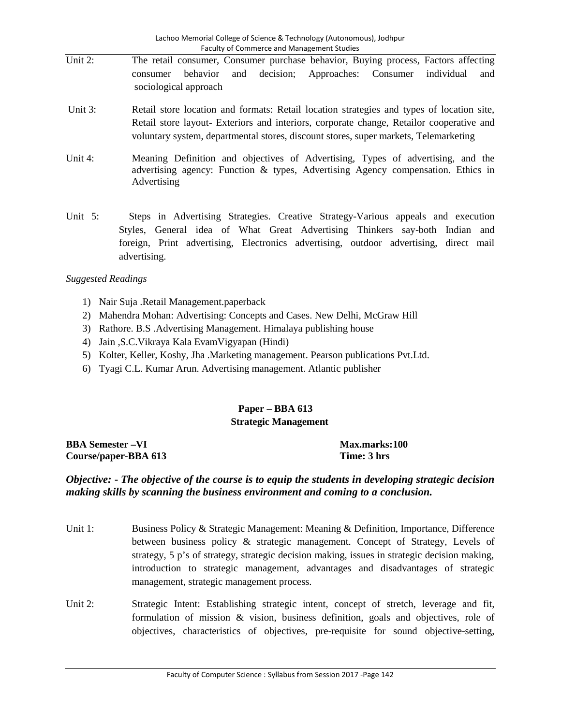|            | Lachoo Memorial College of Science & Technology (Autonomous), Jodhpur<br>Faculty of Commerce and Management Studies                                                                                                                                                           |
|------------|-------------------------------------------------------------------------------------------------------------------------------------------------------------------------------------------------------------------------------------------------------------------------------|
| Unit $2$ : | The retail consumer, Consumer purchase behavior, Buying process, Factors affecting<br>decision; Approaches: Consumer<br>behavior<br>individual<br>consumer<br>and<br>and<br>sociological approach                                                                             |
| Unit 3:    | Retail store location and formats: Retail location strategies and types of location site,<br>Retail store layout- Exteriors and interiors, corporate change, Retailor cooperative and<br>voluntary system, departmental stores, discount stores, super markets, Telemarketing |
| Unit 4:    | Meaning Definition and objectives of Advertising, Types of advertising, and the<br>advertising agency: Function $\&$ types, Advertising Agency compensation. Ethics in<br>Advertising                                                                                         |
| Unit 5:    | Steps in Advertising Strategies. Creative Strategy-Various appeals and execution<br>Styles, General idea of What Great Advertising Thinkers say-both Indian and<br>foreign, Print advertising, Electronics advertising, outdoor advertising, direct mail<br>advertising.      |

# *Suggested Readings*

- 1) Nair Suja .Retail Management.paperback
- 2) Mahendra Mohan: Advertising: Concepts and Cases. New Delhi, McGraw Hill
- 3) Rathore. B.S .Advertising Management. Himalaya publishing house
- 4) Jain ,S.C.Vikraya Kala EvamVigyapan (Hindi)
- 5) Kolter, Keller, Koshy, Jha .Marketing management. Pearson publications Pvt.Ltd.
- 6) Tyagi C.L. Kumar Arun. Advertising management. Atlantic publisher

# **Paper – BBA 613**

# **Strategic Management**

| <b>BBA Semester –VI</b> | <b>Max.marks:100</b> |
|-------------------------|----------------------|
| Course/paper-BBA 613    | Time: 3 hrs          |

# *Objective:* **-** *The objective of the course is to equip the students in developing strategic decision making skills by scanning the business environment and coming to a conclusion.*

- Unit 1: Business Policy & Strategic Management: Meaning & Definition, Importance, Difference between business policy & strategic management. Concept of Strategy, Levels of strategy, 5 p's of strategy, strategic decision making, issues in strategic decision making, introduction to strategic management, advantages and disadvantages of strategic management, strategic management process.
- Unit 2: Strategic Intent: Establishing strategic intent, concept of stretch, leverage and fit, formulation of mission & vision, business definition, goals and objectives, role of objectives, characteristics of objectives, pre-requisite for sound objective-setting,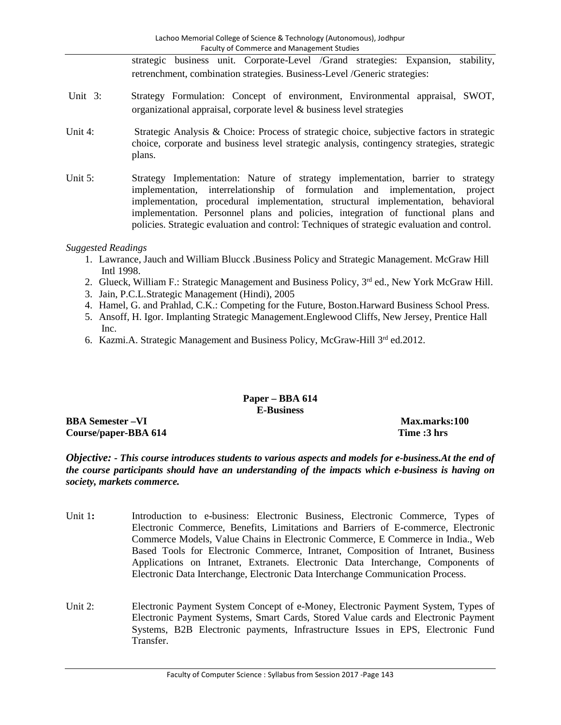strategic business unit. Corporate-Level /Grand strategies: Expansion, stability, retrenchment, combination strategies. Business-Level /Generic strategies:

- Unit 3: Strategy Formulation: Concept of environment, Environmental appraisal, SWOT, organizational appraisal, corporate level & business level strategies
- Unit 4: Strategic Analysis & Choice: Process of strategic choice, subjective factors in strategic choice, corporate and business level strategic analysis, contingency strategies, strategic plans.
- Unit 5: Strategy Implementation: Nature of strategy implementation, barrier to strategy implementation, interrelationship of formulation and implementation, project implementation, procedural implementation, structural implementation, behavioral implementation. Personnel plans and policies, integration of functional plans and policies. Strategic evaluation and control: Techniques of strategic evaluation and control.

#### *Suggested Readings*

- 1. Lawrance, Jauch and William Blucck .Business Policy and Strategic Management. McGraw Hill Intl 1998.
- 2. Glueck, William F.: Strategic Management and Business Policy, 3<sup>rd</sup> ed., New York McGraw Hill.
- 3. Jain, P.C.L.Strategic Management (Hindi), 2005
- 4. Hamel, G. and Prahlad, C.K.: Competing for the Future, Boston.Harward Business School Press.
- 5. Ansoff, H. Igor. Implanting Strategic Management.Englewood Cliffs, New Jersey, Prentice Hall Inc.
- 6. Kazmi.A. Strategic Management and Business Policy, McGraw-Hill 3<sup>rd</sup> ed.2012.

# **Paper – BBA 614 E-Business**

**BBA Semester –VI Max.marks:100 Course/paper-BBA 614 Time :3 hrs**

*Objective:* **-** *This course introduces students to various aspects and models for e-business.At the end of the course participants should have an understanding of the impacts which e-business is having on society, markets commerce.*

- Unit 1: Introduction to e-business: Electronic Business, Electronic Commerce, Types of Electronic Commerce, Benefits, Limitations and Barriers of E-commerce, Electronic Commerce Models, Value Chains in Electronic Commerce, E Commerce in India., Web Based Tools for Electronic Commerce, Intranet, Composition of Intranet, Business Applications on Intranet, Extranets. Electronic Data Interchange, Components of Electronic Data Interchange, Electronic Data Interchange Communication Process.
- Unit 2: Electronic Payment System Concept of e-Money, Electronic Payment System, Types of Electronic Payment Systems, Smart Cards, Stored Value cards and Electronic Payment Systems, B2B Electronic payments, Infrastructure Issues in EPS, Electronic Fund Transfer.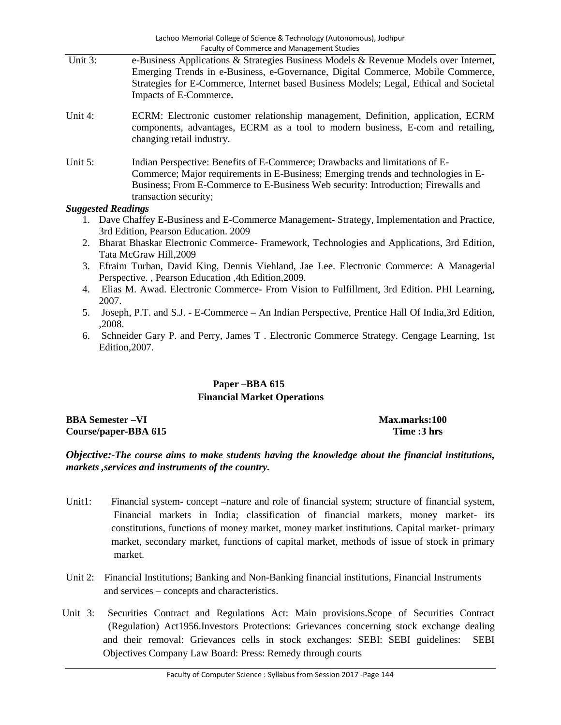|                           | Lachoo Memorial College of Science & Technology (Autonomous), Jodhpur                                                                                                                                                                                                                       |
|---------------------------|---------------------------------------------------------------------------------------------------------------------------------------------------------------------------------------------------------------------------------------------------------------------------------------------|
|                           | Faculty of Commerce and Management Studies                                                                                                                                                                                                                                                  |
| Unit 3:                   | e-Business Applications & Strategies Business Models & Revenue Models over Internet,<br>Emerging Trends in e-Business, e-Governance, Digital Commerce, Mobile Commerce,<br>Strategies for E-Commerce, Internet based Business Models; Legal, Ethical and Societal<br>Impacts of E-Commerce. |
| Unit 4:                   | ECRM: Electronic customer relationship management, Definition, application, ECRM<br>components, advantages, ECRM as a tool to modern business, E-com and retailing,<br>changing retail industry.                                                                                            |
| Unit 5:                   | Indian Perspective: Benefits of E-Commerce; Drawbacks and limitations of E-<br>Commerce; Major requirements in E-Business; Emerging trends and technologies in E-<br>Business; From E-Commerce to E-Business Web security: Introduction; Firewalls and<br>transaction security;             |
| <b>Suggested Readings</b> |                                                                                                                                                                                                                                                                                             |
|                           | Dave Chaffey E-Business and E-Commerce Management- Strategy, Implementation and Practice,                                                                                                                                                                                                   |
|                           | 3rd Edition, Pearson Education. 2009                                                                                                                                                                                                                                                        |
|                           |                                                                                                                                                                                                                                                                                             |

- 2. Bharat Bhaskar Electronic Commerce- Framework, Technologies and Applications, 3rd Edition, Tata McGraw Hill,2009
- 3. Efraim Turban, David King, Dennis Viehland, Jae Lee. Electronic Commerce: A Managerial Perspective. , Pearson Education ,4th Edition,2009.
- 4. Elias M. Awad. Electronic Commerce- From Vision to Fulfillment, 3rd Edition. PHI Learning, 2007.
- 5. Joseph, P.T. and S.J. E-Commerce An Indian Perspective, Prentice Hall Of India,3rd Edition, ,2008.
- 6. Schneider Gary P. and Perry, James T . Electronic Commerce Strategy. Cengage Learning, 1st Edition,2007.

# **Paper –BBA 615 Financial Market Operations**

**BBA Semester** –**VI Max.marks:100 Course/paper-BBA 615 Time :3 hrs**

*Objective:***-***The course aims to make students having the knowledge about the financial institutions, markets ,services and instruments of the country.*

- Unit1: Financial system- concept –nature and role of financial system; structure of financial system, Financial markets in India; classification of financial markets, money market- its constitutions, functions of money market, money market institutions. Capital market- primary market, secondary market, functions of capital market, methods of issue of stock in primary market.
- Unit 2: Financial Institutions; Banking and Non-Banking financial institutions, Financial Instruments and services – concepts and characteristics.
- Unit 3: Securities Contract and Regulations Act: Main provisions.Scope of Securities Contract (Regulation) Act1956.Investors Protections: Grievances concerning stock exchange dealing and their removal: Grievances cells in stock exchanges: SEBI: SEBI guidelines: SEBI Objectives Company Law Board: Press: Remedy through courts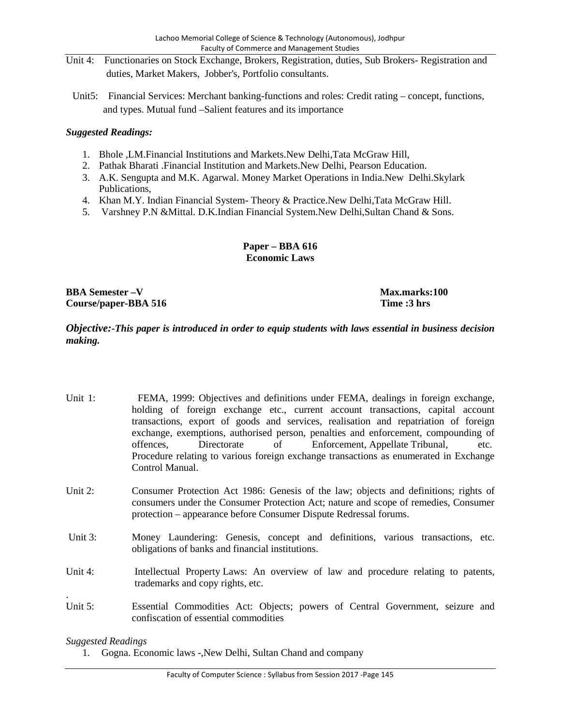- Unit 4: Functionaries on Stock Exchange, Brokers, Registration, duties, Sub Brokers- Registration and duties, Market Makers, Jobber's, Portfolio consultants.
	- Unit5: Financial Services: Merchant banking-functions and roles: Credit rating concept, functions, and types. Mutual fund –Salient features and its importance

# *Suggested Readings:*

- 1. Bhole ,LM.Financial Institutions and Markets.New Delhi,Tata McGraw Hill,
- 2. Pathak Bharati .Financial Institution and Markets.New Delhi, Pearson Education.
- 3. A.K. Sengupta and M.K. Agarwal. Money Market Operations in India.New Delhi.Skylark Publications,
- 4. Khan M.Y. Indian Financial System- Theory & Practice.New Delhi,Tata McGraw Hill.
- 5. Varshney P.N &Mittal. D.K.Indian Financial System.New Delhi,Sultan Chand & Sons.

# **Paper – BBA 616 Economic Laws**

**BBA Semester**  $-V$  **Max.marks:100 Course/paper-BBA 516 Time :3 hrs**

# *Objective:***-***This paper is introduced in order to equip students with laws essential in business decision making.*

- Unit 1: FEMA, 1999: Objectives and definitions under FEMA, dealings in foreign exchange, holding of foreign exchange etc., current account transactions, capital account transactions, export of goods and services, realisation and repatriation of foreign exchange, exemptions, authorised person, penalties and enforcement, compounding of offences, Directorate of Enforcement, Appellate Tribunal, etc. Procedure relating to various foreign exchange transactions as enumerated in Exchange Control Manual.
- Unit 2: Consumer Protection Act 1986: Genesis of the law; objects and definitions; rights of consumers under the Consumer Protection Act; nature and scope of remedies, Consumer protection – appearance before Consumer Dispute Redressal forums.
- Unit 3: Money Laundering: Genesis, concept and definitions, various transactions, etc. obligations of banks and financial institutions.
- Unit 4: Intellectual Property Laws: An overview of law and procedure relating to patents, trademarks and copy rights, etc.
- .Unit 5: Essential Commodities Act: Objects; powers of Central Government, seizure and confiscation of essential commodities

#### *Suggested Readings*

1. Gogna. Economic laws -,New Delhi, Sultan Chand and company